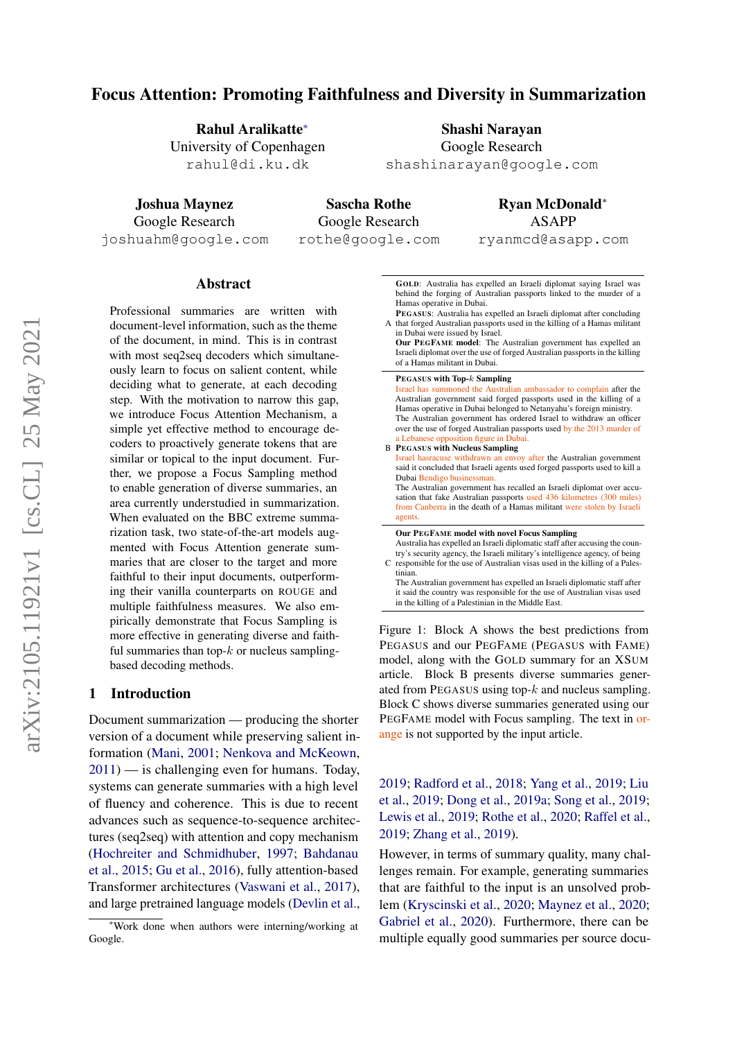# Focus Attention: Promoting Faithfulness and Diversity in Summarization

Rahul Aralikatte<sup>∗</sup> University of Copenhagen rahul@di.ku.dk

Shashi Narayan Google Research

shashinarayan@google.com

Joshua Maynez Google Research joshuahm@google.com

Sascha Rothe Google Research rothe@google.com

Ryan McDonald<sup>∗</sup> ASAPP ryanmcd@asapp.com

Abstract

Professional summaries are written with document-level information, such as the theme of the document, in mind. This is in contrast with most seq2seq decoders which simultaneously learn to focus on salient content, while deciding what to generate, at each decoding step. With the motivation to narrow this gap, we introduce Focus Attention Mechanism, a simple yet effective method to encourage decoders to proactively generate tokens that are similar or topical to the input document. Further, we propose a Focus Sampling method to enable generation of diverse summaries, an area currently understudied in summarization. When evaluated on the BBC extreme summarization task, two state-of-the-art models augmented with Focus Attention generate summaries that are closer to the target and more faithful to their input documents, outperforming their vanilla counterparts on ROUGE and multiple faithfulness measures. We also empirically demonstrate that Focus Sampling is more effective in generating diverse and faithful summaries than top- $k$  or nucleus samplingbased decoding methods.

#### 1 Introduction

Document summarization — producing the shorter version of a document while preserving salient information [\(Mani,](#page-11-0) [2001;](#page-11-0) [Nenkova and McKeown,](#page-11-1)  $2011$ ) — is challenging even for humans. Today, systems can generate summaries with a high level of fluency and coherence. This is due to recent advances such as sequence-to-sequence architectures (seq2seq) with attention and copy mechanism [\(Hochreiter and Schmidhuber,](#page-10-0) [1997;](#page-10-0) [Bahdanau](#page-8-0) [et al.,](#page-8-0) [2015;](#page-8-0) [Gu et al.,](#page-10-1) [2016\)](#page-10-1), fully attention-based Transformer architectures [\(Vaswani et al.,](#page-12-0) [2017\)](#page-12-0), and large pretrained language models [\(Devlin et al.,](#page-9-0)

<span id="page-0-0"></span>GOLD: Australia has expelled an Israeli diplomat saying Israel was behind the forging of Australian passports linked to the murder of a Hamas operative in Dubai.

- A that forged Australian passports used in the killing of a Hamas militant PEGASUS: Australia has expelled an Israeli diplomat after concluding in Dubai were issued by Israel.
- Our PEGFAME model: The Australian government has expelled an Israeli diplomat over the use of forged Australian passports in the killing of a Hamas militant in Dubai.

B PEGASUS with Nucleus Sampling PEGASUS with Top-k Sampling Israel has summoned the Australian ambassador to complain after the Australian government said forged passports used in the killing of a Hamas operative in Dubai belonged to Netanyahu's foreign ministry. The Australian government has ordered Israel to withdraw an officer over the use of forged Australian passports used by the 2013 murder of a Lebanese opposition figure in Dubai. Israel hasracuse withdrawn an envoy after the Australian government said it concluded that Israeli agents used forged passports used to kill a Dubai Bendigo businessma The Australian government has recalled an Israeli diplomat over accusation that fake Australian passports used 436 kilometres (300 miles) from Canberra in the death of a Hamas militant were stolen by Israeli agents. C responsible for the use of Australian visas used in the killing of a Pales-Our PEGFAME model with novel Focus Sampling Australia has expelled an Israeli diplomatic staff after accusing the country's security agency, the Israeli military's intelligence agency, of being tinian. The Australian government has expelled an Israeli diplomatic staff after it said the country was responsible for the use of Australian visas used

in the killing of a Palestinian in the Middle East.

Figure 1: Block A shows the best predictions from PEGASUS and our PEGFAME (PEGASUS with FAME) model, along with the GOLD summary for an XSUM article. Block B presents diverse summaries generated from PEGASUS using top-k and nucleus sampling. Block C shows diverse summaries generated using our PEGFAME model with Focus sampling. The text in orange is not supported by the input article.

[2019;](#page-9-0) [Radford et al.,](#page-11-2) [2018;](#page-11-2) [Yang et al.,](#page-13-0) [2019;](#page-13-0) [Liu](#page-11-3) [et al.,](#page-11-3) [2019;](#page-11-3) [Dong et al.,](#page-9-1) [2019a;](#page-9-1) [Song et al.,](#page-12-1) [2019;](#page-12-1) [Lewis et al.,](#page-11-4) [2019;](#page-11-4) [Rothe et al.,](#page-12-2) [2020;](#page-12-2) [Raffel et al.,](#page-12-3) [2019;](#page-12-3) [Zhang et al.,](#page-13-1) [2019\)](#page-13-1).

However, in terms of summary quality, many challenges remain. For example, generating summaries that are faithful to the input is an unsolved problem [\(Kryscinski et al.,](#page-10-2) [2020;](#page-10-2) [Maynez et al.,](#page-11-5) [2020;](#page-11-5) [Gabriel et al.,](#page-10-3) [2020\)](#page-10-3). Furthermore, there can be multiple equally good summaries per source docu-

<sup>∗</sup>Work done when authors were interning/working at Google.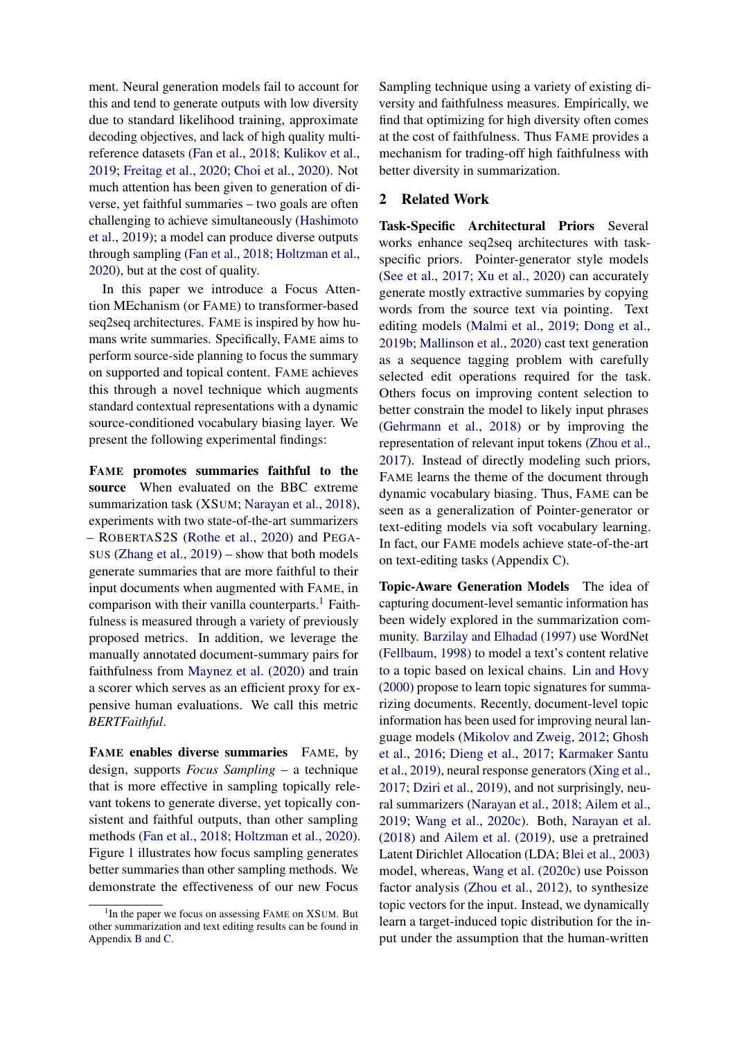ment. Neural generation models fail to account for this and tend to generate outputs with low diversity due to standard likelihood training, approximate decoding objectives, and lack of high quality multireference datasets [\(Fan et al.,](#page-10-4) [2018;](#page-10-4) [Kulikov et al.,](#page-11-6) [2019;](#page-11-6) [Freitag et al.,](#page-10-5) [2020;](#page-10-5) [Choi et al.,](#page-9-2) [2020\)](#page-9-2). Not much attention has been given to generation of diverse, yet faithful summaries – two goals are often challenging to achieve simultaneously [\(Hashimoto](#page-10-6) [et al.,](#page-10-6) [2019\)](#page-10-6); a model can produce diverse outputs through sampling [\(Fan et al.,](#page-10-4) [2018;](#page-10-4) [Holtzman et al.,](#page-10-7) [2020\)](#page-10-7), but at the cost of quality.

In this paper we introduce a Focus Attention MEchanism (or FAME) to transformer-based seq2seq architectures. FAME is inspired by how humans write summaries. Specifically, FAME aims to perform source-side planning to focus the summary on supported and topical content. FAME achieves this through a novel technique which augments standard contextual representations with a dynamic source-conditioned vocabulary biasing layer. We present the following experimental findings:

FAME promotes summaries faithful to the source When evaluated on the BBC extreme summarization task (XSUM; [Narayan et al.,](#page-11-7) [2018\)](#page-11-7), experiments with two state-of-the-art summarizers – ROBERTAS2S [\(Rothe et al.,](#page-12-2) [2020\)](#page-12-2) and PEGA-SUS [\(Zhang et al.,](#page-13-1) [2019\)](#page-13-1) – show that both models generate summaries that are more faithful to their input documents when augmented with FAME, in comparison with their vanilla counterparts.<sup>[1](#page-1-0)</sup> Faithfulness is measured through a variety of previously proposed metrics. In addition, we leverage the manually annotated document-summary pairs for faithfulness from [Maynez et al.](#page-11-5) [\(2020\)](#page-11-5) and train a scorer which serves as an efficient proxy for expensive human evaluations. We call this metric *BERTFaithful*.

FAME enables diverse summaries FAME, by design, supports *Focus Sampling* – a technique that is more effective in sampling topically relevant tokens to generate diverse, yet topically consistent and faithful outputs, than other sampling methods [\(Fan et al.,](#page-10-4) [2018;](#page-10-4) [Holtzman et al.,](#page-10-7) [2020\)](#page-10-7). Figure [1](#page-0-0) illustrates how focus sampling generates better summaries than other sampling methods. We demonstrate the effectiveness of our new Focus

Sampling technique using a variety of existing diversity and faithfulness measures. Empirically, we find that optimizing for high diversity often comes at the cost of faithfulness. Thus FAME provides a mechanism for trading-off high faithfulness with better diversity in summarization.

## 2 Related Work

Task-Specific Architectural Priors Several works enhance seq2seq architectures with taskspecific priors. Pointer-generator style models [\(See et al.,](#page-12-4) [2017;](#page-12-4) [Xu et al.,](#page-13-2) [2020\)](#page-13-2) can accurately generate mostly extractive summaries by copying words from the source text via pointing. Text editing models [\(Malmi et al.,](#page-11-8) [2019;](#page-11-8) [Dong et al.,](#page-9-3) [2019b;](#page-9-3) [Mallinson et al.,](#page-11-9) [2020\)](#page-11-9) cast text generation as a sequence tagging problem with carefully selected edit operations required for the task. Others focus on improving content selection to better constrain the model to likely input phrases [\(Gehrmann et al.,](#page-10-8) [2018\)](#page-10-8) or by improving the representation of relevant input tokens [\(Zhou et al.,](#page-13-3) [2017\)](#page-13-3). Instead of directly modeling such priors, FAME learns the theme of the document through dynamic vocabulary biasing. Thus, FAME can be seen as a generalization of Pointer-generator or text-editing models via soft vocabulary learning. In fact, our FAME models achieve state-of-the-art on text-editing tasks (Appendix [C\)](#page-15-0).

Topic-Aware Generation Models The idea of capturing document-level semantic information has been widely explored in the summarization community. [Barzilay and Elhadad](#page-9-4) [\(1997\)](#page-9-4) use WordNet [\(Fellbaum,](#page-10-9) [1998\)](#page-10-9) to model a text's content relative to a topic based on lexical chains. [Lin and Hovy](#page-11-10) [\(2000\)](#page-11-10) propose to learn topic signatures for summarizing documents. Recently, document-level topic information has been used for improving neural language models [\(Mikolov and Zweig,](#page-11-11) [2012;](#page-11-11) [Ghosh](#page-10-10) [et al.,](#page-10-10) [2016;](#page-10-10) [Dieng et al.,](#page-9-5) [2017;](#page-9-5) [Karmaker Santu](#page-10-11) [et al.,](#page-10-11) [2019\)](#page-10-11), neural response generators [\(Xing et al.,](#page-13-4) [2017;](#page-13-4) [Dziri et al.,](#page-9-6) [2019\)](#page-9-6), and not surprisingly, neural summarizers [\(Narayan et al.,](#page-11-7) [2018;](#page-11-7) [Ailem et al.,](#page-8-1) [2019;](#page-8-1) [Wang et al.,](#page-12-5) [2020c\)](#page-12-5). Both, [Narayan et al.](#page-11-7) [\(2018\)](#page-11-7) and [Ailem et al.](#page-8-1) [\(2019\)](#page-8-1), use a pretrained Latent Dirichlet Allocation (LDA; [Blei et al.,](#page-9-7) [2003\)](#page-9-7) model, whereas, [Wang et al.](#page-12-5) [\(2020c\)](#page-12-5) use Poisson factor analysis [\(Zhou et al.,](#page-13-5) [2012\)](#page-13-5), to synthesize topic vectors for the input. Instead, we dynamically learn a target-induced topic distribution for the input under the assumption that the human-written

<span id="page-1-0"></span><sup>&</sup>lt;sup>1</sup>In the paper we focus on assessing FAME on XSUM. But other summarization and text editing results can be found in Appendix [B](#page-14-0) and [C.](#page-15-0)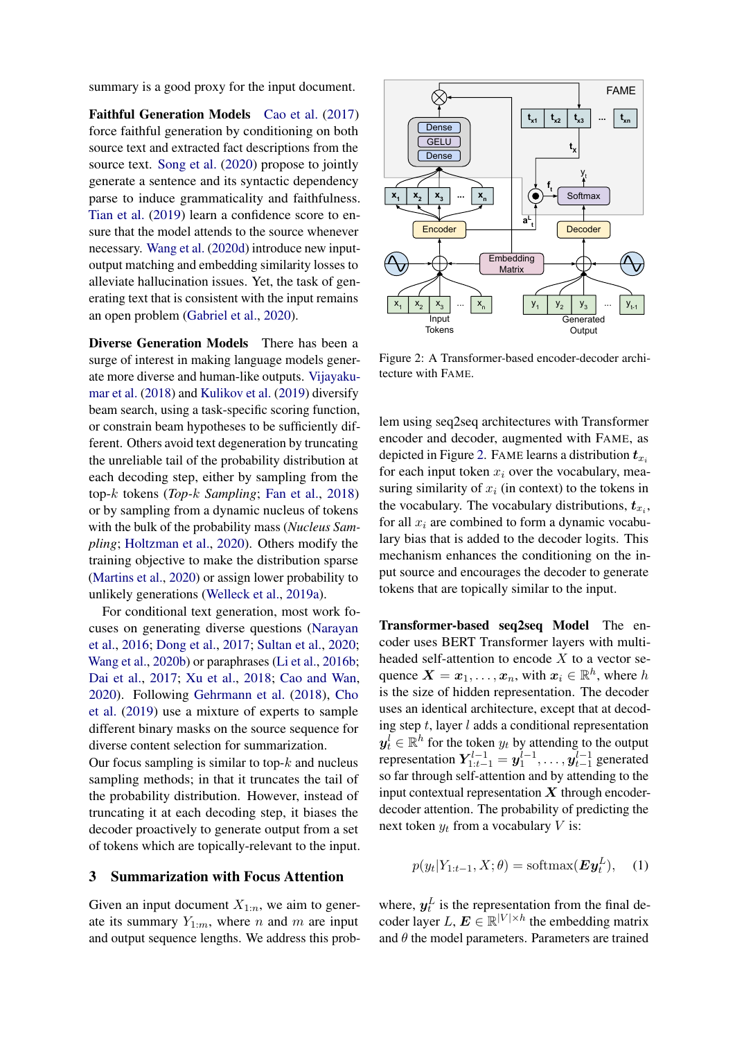summary is a good proxy for the input document.

Faithful Generation Models [Cao et al.](#page-9-8) [\(2017\)](#page-9-8) force faithful generation by conditioning on both source text and extracted fact descriptions from the source text. [Song et al.](#page-12-6) [\(2020\)](#page-12-6) propose to jointly generate a sentence and its syntactic dependency parse to induce grammaticality and faithfulness. [Tian et al.](#page-12-7) [\(2019\)](#page-12-7) learn a confidence score to ensure that the model attends to the source whenever necessary. [Wang et al.](#page-12-8) [\(2020d\)](#page-12-8) introduce new inputoutput matching and embedding similarity losses to alleviate hallucination issues. Yet, the task of generating text that is consistent with the input remains an open problem [\(Gabriel et al.,](#page-10-3) [2020\)](#page-10-3).

Diverse Generation Models There has been a surge of interest in making language models generate more diverse and human-like outputs. [Vijayaku](#page-12-9)[mar et al.](#page-12-9) [\(2018\)](#page-12-9) and [Kulikov et al.](#page-11-6) [\(2019\)](#page-11-6) diversify beam search, using a task-specific scoring function, or constrain beam hypotheses to be sufficiently different. Others avoid text degeneration by truncating the unreliable tail of the probability distribution at each decoding step, either by sampling from the top-k tokens (*Top-*k *Sampling*; [Fan et al.,](#page-10-4) [2018\)](#page-10-4) or by sampling from a dynamic nucleus of tokens with the bulk of the probability mass (*Nucleus Sampling*; [Holtzman et al.,](#page-10-7) [2020\)](#page-10-7). Others modify the training objective to make the distribution sparse [\(Martins et al.,](#page-11-12) [2020\)](#page-11-12) or assign lower probability to unlikely generations [\(Welleck et al.,](#page-12-10) [2019a\)](#page-12-10).

For conditional text generation, most work focuses on generating diverse questions [\(Narayan](#page-11-13) [et al.,](#page-11-13) [2016;](#page-11-13) [Dong et al.,](#page-9-9) [2017;](#page-9-9) [Sultan et al.,](#page-12-11) [2020;](#page-12-11) [Wang et al.,](#page-12-12) [2020b\)](#page-12-12) or paraphrases [\(Li et al.,](#page-11-14) [2016b;](#page-11-14) [Dai et al.,](#page-9-10) [2017;](#page-9-10) [Xu et al.,](#page-13-6) [2018;](#page-13-6) [Cao and Wan,](#page-9-11) [2020\)](#page-9-11). Following [Gehrmann et al.](#page-10-8) [\(2018\)](#page-10-8), [Cho](#page-9-12) [et al.](#page-9-12) [\(2019\)](#page-9-12) use a mixture of experts to sample different binary masks on the source sequence for diverse content selection for summarization.

Our focus sampling is similar to top- $k$  and nucleus sampling methods; in that it truncates the tail of the probability distribution. However, instead of truncating it at each decoding step, it biases the decoder proactively to generate output from a set of tokens which are topically-relevant to the input.

#### 3 Summarization with Focus Attention

Given an input document  $X_{1:n}$ , we aim to generate its summary  $Y_{1:m}$ , where n and m are input and output sequence lengths. We address this prob-

<span id="page-2-0"></span>

Figure 2: A Transformer-based encoder-decoder architecture with FAME.

lem using seq2seq architectures with Transformer encoder and decoder, augmented with FAME, as depicted in Figure [2.](#page-2-0) FAME learns a distribution  $t_{x_i}$ for each input token  $x_i$  over the vocabulary, measuring similarity of  $x_i$  (in context) to the tokens in the vocabulary. The vocabulary distributions,  $t_{x_i}$ , for all  $x_i$  are combined to form a dynamic vocabulary bias that is added to the decoder logits. This mechanism enhances the conditioning on the input source and encourages the decoder to generate tokens that are topically similar to the input.

Transformer-based seq2seq Model The encoder uses BERT Transformer layers with multiheaded self-attention to encode  $X$  to a vector sequence  $\mathbf{X} = \mathbf{x}_1, \dots, \mathbf{x}_n$ , with  $\mathbf{x}_i \in \mathbb{R}^h$ , where h is the size of hidden representation. The decoder uses an identical architecture, except that at decoding step  $t$ , layer  $l$  adds a conditional representation  $y_t^l \in \mathbb{R}^h$  for the token  $y_t$  by attending to the output representation  $Y_{1:t-1}^{l-1} = y_1^{l-1}, \ldots, y_{t-1}^{l-1}$  generated so far through self-attention and by attending to the input contextual representation  $X$  through encoderdecoder attention. The probability of predicting the next token  $y_t$  from a vocabulary V is:

<span id="page-2-1"></span>
$$
p(y_t|Y_{1:t-1}, X; \theta) = \text{softmax}(\boldsymbol{E}\boldsymbol{y}_t^L), \quad (1)
$$

where,  $y_t^L$  is the representation from the final decoder layer L,  $E \in \mathbb{R}^{|V| \times h}$  the embedding matrix and  $\theta$  the model parameters. Parameters are trained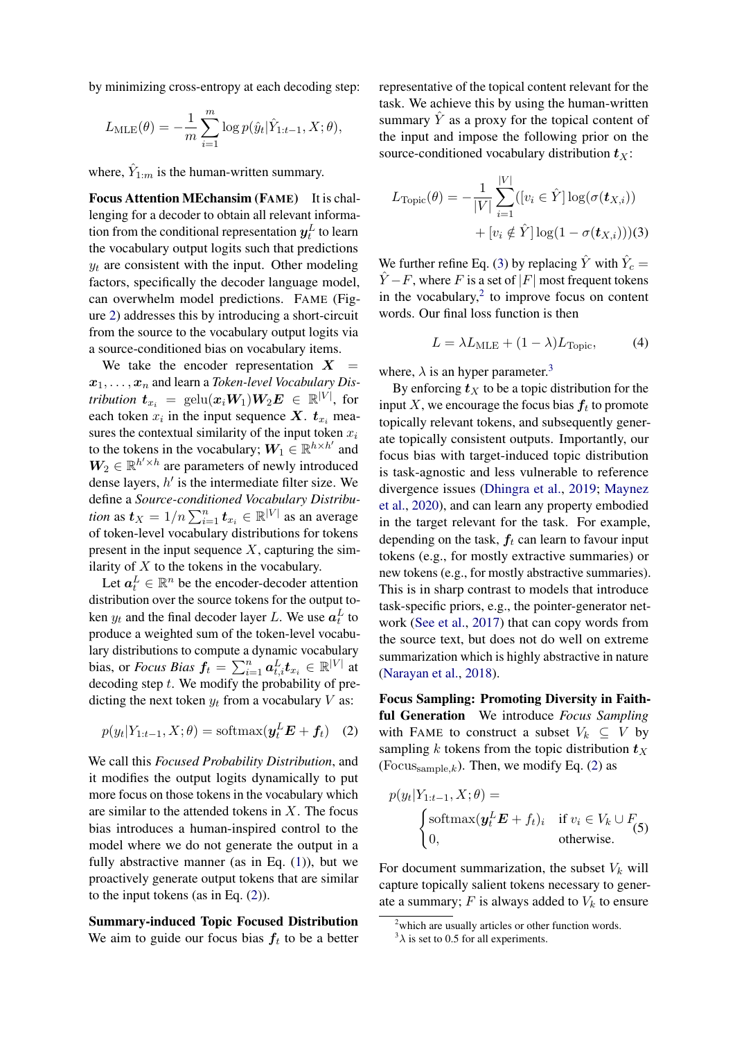by minimizing cross-entropy at each decoding step:

$$
L_{\text{MLE}}(\theta) = -\frac{1}{m} \sum_{i=1}^{m} \log p(\hat{y}_t | \hat{Y}_{1:t-1}, X; \theta),
$$

where,  $\hat{Y}_{1:m}$  is the human-written summary.

Focus Attention MEchansim (FAME) It is challenging for a decoder to obtain all relevant information from the conditional representation  $\bm{y}^L_t$  to learn the vocabulary output logits such that predictions  $y_t$  are consistent with the input. Other modeling factors, specifically the decoder language model, can overwhelm model predictions. FAME (Figure [2\)](#page-2-0) addresses this by introducing a short-circuit from the source to the vocabulary output logits via a source-conditioned bias on vocabulary items.

We take the encoder representation  $X =$  $x_1, \ldots, x_n$  and learn a *Token-level Vocabulary Distribution*  $\boldsymbol{t}_{x_i}$  *=*  $\text{gelu}(\boldsymbol{x}_i\boldsymbol{W}_1)\boldsymbol{W}_2\boldsymbol{E}$  $\in$  $\mathbb{R}^{|V|}$ *, for* each token  $x_i$  in the input sequence  $X$ .  $t_{x_i}$  measures the contextual similarity of the input token  $x_i$ to the tokens in the vocabulary;  $W_1 \in \mathbb{R}^{h \times h'}$  and  $W_2 \in \mathbb{R}^{h' \times h}$  are parameters of newly introduced dense layers,  $h'$  is the intermediate filter size. We define a *Source-conditioned Vocabulary Distribution* as  $t_X = 1/n \sum_{i=1}^n t_{x_i} \in \mathbb{R}^{|V|}$  as an average of token-level vocabulary distributions for tokens present in the input sequence  $X$ , capturing the similarity of  $X$  to the tokens in the vocabulary.

Let  $a_t^L \in \mathbb{R}^n$  be the encoder-decoder attention distribution over the source tokens for the output token  $y_t$  and the final decoder layer L. We use  $a_t^L$  to produce a weighted sum of the token-level vocabulary distributions to compute a dynamic vocabulary bias, or *Focus Bias*  $f_t = \sum_{i=1}^n a_{t,i}^L t_{x_i} \in \mathbb{R}^{|V|}$  at decoding step  $t$ . We modify the probability of predicting the next token  $y_t$  from a vocabulary V as:

$$
p(y_t|Y_{1:t-1}, X; \theta) = \text{softmax}(\boldsymbol{y}_t^L \boldsymbol{E} + \boldsymbol{f}_t) \quad (2)
$$

We call this *Focused Probability Distribution*, and it modifies the output logits dynamically to put more focus on those tokens in the vocabulary which are similar to the attended tokens in  $X$ . The focus bias introduces a human-inspired control to the model where we do not generate the output in a fully abstractive manner (as in Eq.  $(1)$ ), but we proactively generate output tokens that are similar to the input tokens (as in Eq. [\(2\)](#page-3-0)).

Summary-induced Topic Focused Distribution We aim to guide our focus bias  $f_t$  to be a better

representative of the topical content relevant for the task. We achieve this by using the human-written summary  $\hat{Y}$  as a proxy for the topical content of the input and impose the following prior on the source-conditioned vocabulary distribution  $t_X$ :

$$
L_{\text{Topic}}(\theta) = -\frac{1}{|V|} \sum_{i=1}^{|V|} ([v_i \in \hat{Y}] \log(\sigma(\boldsymbol{t}_{X,i}))
$$

$$
+ [v_i \notin \hat{Y}] \log(1 - \sigma(\boldsymbol{t}_{X,i})))
$$

We further refine Eq. [\(3\)](#page-3-1) by replacing  $\hat{Y}$  with  $\hat{Y}_c$  =  $\hat{Y} - F$ , where F is a set of |F| most frequent tokens in the vocabulary, $2$  to improve focus on content words. Our final loss function is then

<span id="page-3-5"></span><span id="page-3-1"></span>
$$
L = \lambda L_{\text{MLE}} + (1 - \lambda) L_{\text{Topic}}, \tag{4}
$$

where,  $\lambda$  is an hyper parameter.<sup>[3](#page-3-3)</sup>

By enforcing  $t<sub>X</sub>$  to be a topic distribution for the input X, we encourage the focus bias  $f_t$  to promote topically relevant tokens, and subsequently generate topically consistent outputs. Importantly, our focus bias with target-induced topic distribution is task-agnostic and less vulnerable to reference divergence issues [\(Dhingra et al.,](#page-9-13) [2019;](#page-9-13) [Maynez](#page-11-5) [et al.,](#page-11-5) [2020\)](#page-11-5), and can learn any property embodied in the target relevant for the task. For example, depending on the task,  $f_t$  can learn to favour input tokens (e.g., for mostly extractive summaries) or new tokens (e.g., for mostly abstractive summaries). This is in sharp contrast to models that introduce task-specific priors, e.g., the pointer-generator network [\(See et al.,](#page-12-4) [2017\)](#page-12-4) that can copy words from the source text, but does not do well on extreme summarization which is highly abstractive in nature [\(Narayan et al.,](#page-11-7) [2018\)](#page-11-7).

<span id="page-3-0"></span>Focus Sampling: Promoting Diversity in Faithful Generation We introduce *Focus Sampling* with FAME to construct a subset  $V_k \subseteq V$  by sampling k tokens from the topic distribution  $t_X$ (Focus $_{\text{sample},k}$ ). Then, we modify Eq. [\(2\)](#page-3-0) as

<span id="page-3-4"></span>
$$
p(y_t|Y_{1:t-1}, X; \theta) =
$$
  
\n
$$
\begin{cases}\n\text{softmax}(\boldsymbol{y}_t^L \boldsymbol{E} + f_t)_i & \text{if } v_i \in V_k \cup F_{(5)} \\
0, & \text{otherwise.} \n\end{cases}
$$

For document summarization, the subset  $V_k$  will capture topically salient tokens necessary to generate a summary;  $F$  is always added to  $V_k$  to ensure

<span id="page-3-2"></span> $2$ which are usually articles or other function words.

<span id="page-3-3"></span> $3\lambda$  is set to 0.5 for all experiments.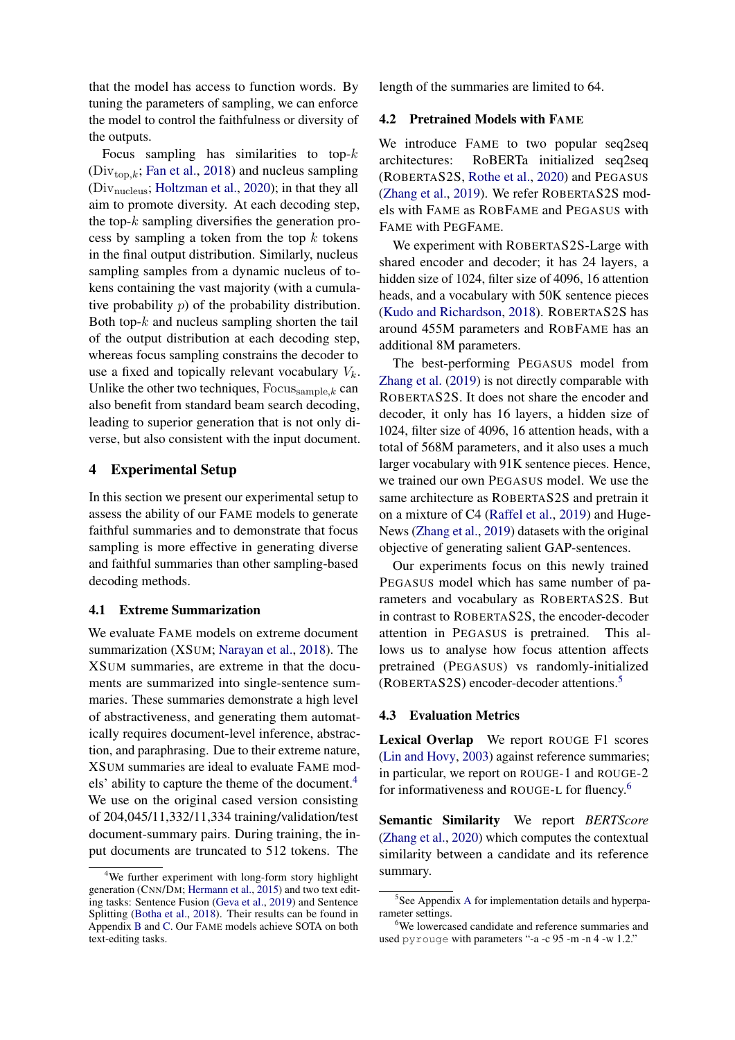that the model has access to function words. By tuning the parameters of sampling, we can enforce the model to control the faithfulness or diversity of the outputs.

Focus sampling has similarities to top- $k$  $(Div_{\text{top},k};$  [Fan et al.,](#page-10-4) [2018\)](#page-10-4) and nucleus sampling (Divnucleus; [Holtzman et al.,](#page-10-7) [2020\)](#page-10-7); in that they all aim to promote diversity. At each decoding step, the top- $k$  sampling diversifies the generation process by sampling a token from the top  $k$  tokens in the final output distribution. Similarly, nucleus sampling samples from a dynamic nucleus of tokens containing the vast majority (with a cumulative probability p) of the probability distribution. Both top- $k$  and nucleus sampling shorten the tail of the output distribution at each decoding step, whereas focus sampling constrains the decoder to use a fixed and topically relevant vocabulary  $V_k$ . Unlike the other two techniques,  $Focus_{\text{sample},k}$  can also benefit from standard beam search decoding, leading to superior generation that is not only diverse, but also consistent with the input document.

#### 4 Experimental Setup

In this section we present our experimental setup to assess the ability of our FAME models to generate faithful summaries and to demonstrate that focus sampling is more effective in generating diverse and faithful summaries than other sampling-based decoding methods.

#### 4.1 Extreme Summarization

We evaluate FAME models on extreme document summarization (XSUM; [Narayan et al.,](#page-11-7) [2018\)](#page-11-7). The XSUM summaries, are extreme in that the documents are summarized into single-sentence summaries. These summaries demonstrate a high level of abstractiveness, and generating them automatically requires document-level inference, abstraction, and paraphrasing. Due to their extreme nature, XSUM summaries are ideal to evaluate FAME mod-els' ability to capture the theme of the document.<sup>[4](#page-4-0)</sup> We use on the original cased version consisting of 204,045/11,332/11,334 training/validation/test document-summary pairs. During training, the input documents are truncated to 512 tokens. The

length of the summaries are limited to 64.

#### 4.2 Pretrained Models with FAME

We introduce FAME to two popular seq2seq architectures: RoBERTa initialized seq2seq (ROBERTAS2S, [Rothe et al.,](#page-12-2) [2020\)](#page-12-2) and PEGASUS [\(Zhang et al.,](#page-13-1) [2019\)](#page-13-1). We refer ROBERTAS2S models with FAME as ROBFAME and PEGASUS with FAME with PEGFAME.

We experiment with ROBERTAS2S-Large with shared encoder and decoder; it has 24 layers, a hidden size of 1024, filter size of 4096, 16 attention heads, and a vocabulary with 50K sentence pieces [\(Kudo and Richardson,](#page-11-15) [2018\)](#page-11-15). ROBERTAS2S has around 455M parameters and ROBFAME has an additional 8M parameters.

The best-performing PEGASUS model from [Zhang et al.](#page-13-1) [\(2019\)](#page-13-1) is not directly comparable with ROBERTAS2S. It does not share the encoder and decoder, it only has 16 layers, a hidden size of 1024, filter size of 4096, 16 attention heads, with a total of 568M parameters, and it also uses a much larger vocabulary with 91K sentence pieces. Hence, we trained our own PEGASUS model. We use the same architecture as ROBERTAS2S and pretrain it on a mixture of C4 [\(Raffel et al.,](#page-12-3) [2019\)](#page-12-3) and Huge-News [\(Zhang et al.,](#page-13-1) [2019\)](#page-13-1) datasets with the original objective of generating salient GAP-sentences.

Our experiments focus on this newly trained PEGASUS model which has same number of parameters and vocabulary as ROBERTAS2S. But in contrast to ROBERTAS2S, the encoder-decoder attention in PEGASUS is pretrained. This allows us to analyse how focus attention affects pretrained (PEGASUS) vs randomly-initialized (ROBERTAS2S) encoder-decoder attentions.[5](#page-4-1)

#### <span id="page-4-3"></span>4.3 Evaluation Metrics

Lexical Overlap We report ROUGE F1 scores [\(Lin and Hovy,](#page-11-16) [2003\)](#page-11-16) against reference summaries; in particular, we report on ROUGE-1 and ROUGE-2 for informativeness and ROUGE-L for fluency.<sup>[6](#page-4-2)</sup>

Semantic Similarity We report *BERTScore* [\(Zhang et al.,](#page-13-7) [2020\)](#page-13-7) which computes the contextual similarity between a candidate and its reference summary.

<span id="page-4-0"></span><sup>&</sup>lt;sup>4</sup>We further experiment with long-form story highlight generation (CNN/DM; [Hermann et al.,](#page-10-12) [2015\)](#page-10-12) and two text editing tasks: Sentence Fusion [\(Geva et al.,](#page-10-13) [2019\)](#page-10-13) and Sentence Splitting [\(Botha et al.,](#page-9-14) [2018\)](#page-9-14). Their results can be found in Appendix [B](#page-14-0) and [C.](#page-15-0) Our FAME models achieve SOTA on both text-editing tasks.

<span id="page-4-1"></span><sup>&</sup>lt;sup>5</sup>See [A](#page-14-1)ppendix A for implementation details and hyperparameter settings.

<span id="page-4-2"></span><sup>&</sup>lt;sup>6</sup>We lowercased candidate and reference summaries and used pyrouge with parameters "-a -c 95 -m -n 4 -w 1.2."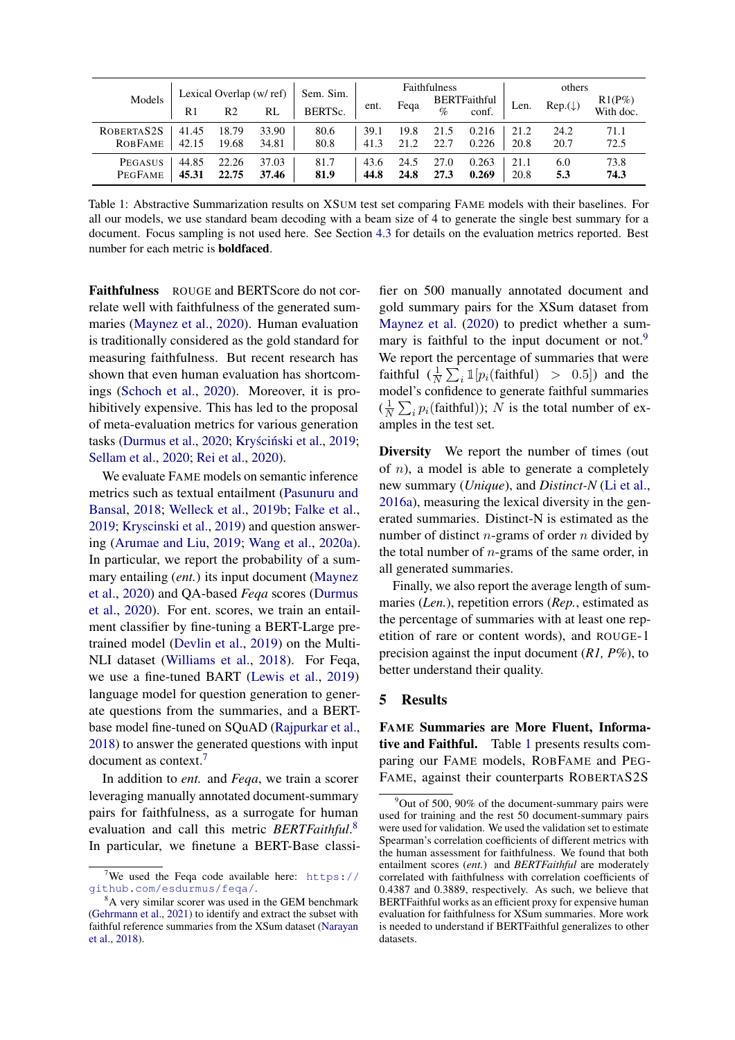<span id="page-5-3"></span>

|                |       | Lexical Overlap (w/ ref) |       | Sem. Sim.            | <b>Faithfulness</b> |      |      | others                       |      |                    |                        |
|----------------|-------|--------------------------|-------|----------------------|---------------------|------|------|------------------------------|------|--------------------|------------------------|
| Models         | R1    | R2                       | RL    | BERTS <sub>c</sub> . | ent.                | Fega | $\%$ | <b>BERTFaithful</b><br>conf. | Len. | $Rep.(\downarrow)$ | $R1(P\%)$<br>With doc. |
| ROBERTAS2S     | 41.45 | 18.79                    | 33.90 | 80.6                 | 39.1                | 19.8 | 21.5 | 0.216                        | 21.2 | 24.2               | 71.1                   |
| <b>ROBFAME</b> | 42.15 | 19.68                    | 34.81 | 80.8                 | 41.3                | 21.2 | 22.7 | 0.226                        | 20.8 | 20.7               | 72.5                   |
| PEGASUS        | 44.85 | 22.26                    | 37.03 | 81.7                 | 43.6                | 24.5 | 27.0 | 0.263                        | 21.1 | 6.0                | 73.8                   |
| <b>PEGFAME</b> | 45.31 | 22.75                    | 37.46 | 81.9                 | 44.8                | 24.8 | 27.3 | 0.269                        | 20.8 | 5.3                | 74.3                   |

Table 1: Abstractive Summarization results on XSUM test set comparing FAME models with their baselines. For all our models, we use standard beam decoding with a beam size of 4 to generate the single best summary for a document. Focus sampling is not used here. See Section [4.3](#page-4-3) for details on the evaluation metrics reported. Best number for each metric is boldfaced.

Faithfulness ROUGE and BERTScore do not correlate well with faithfulness of the generated summaries [\(Maynez et al.,](#page-11-5) [2020\)](#page-11-5). Human evaluation is traditionally considered as the gold standard for measuring faithfulness. But recent research has shown that even human evaluation has shortcomings [\(Schoch et al.,](#page-12-13) [2020\)](#page-12-13). Moreover, it is prohibitively expensive. This has led to the proposal of meta-evaluation metrics for various generation tasks [\(Durmus et al.,](#page-9-15) [2020;](#page-9-15) Kryściński et al., [2019;](#page-11-17) [Sellam et al.,](#page-12-14) [2020;](#page-12-14) [Rei et al.,](#page-12-15) [2020\)](#page-12-15).

We evaluate FAME models on semantic inference metrics such as textual entailment [\(Pasunuru and](#page-11-18) [Bansal,](#page-11-18) [2018;](#page-11-18) [Welleck et al.,](#page-12-16) [2019b;](#page-12-16) [Falke et al.,](#page-9-16) [2019;](#page-9-16) [Kryscinski et al.,](#page-10-14) [2019\)](#page-10-14) and question answering [\(Arumae and Liu,](#page-8-2) [2019;](#page-8-2) [Wang et al.,](#page-12-17) [2020a\)](#page-12-17). In particular, we report the probability of a summary entailing (*ent.*) its input document [\(Maynez](#page-11-5) [et al.,](#page-11-5) [2020\)](#page-11-5) and QA-based *Feqa* scores [\(Durmus](#page-9-15) [et al.,](#page-9-15) [2020\)](#page-9-15). For ent. scores, we train an entailment classifier by fine-tuning a BERT-Large pretrained model [\(Devlin et al.,](#page-9-0) [2019\)](#page-9-0) on the Multi-NLI dataset [\(Williams et al.,](#page-12-18) [2018\)](#page-12-18). For Feqa, we use a fine-tuned BART [\(Lewis et al.,](#page-11-4) [2019\)](#page-11-4) language model for question generation to generate questions from the summaries, and a BERTbase model fine-tuned on SQuAD [\(Rajpurkar et al.,](#page-12-19) [2018\)](#page-12-19) to answer the generated questions with input document as context.[7](#page-5-0)

In addition to *ent.* and *Feqa*, we train a scorer leveraging manually annotated document-summary pairs for faithfulness, as a surrogate for human evaluation and call this metric *BERTFaithful*. [8](#page-5-1) In particular, we finetune a BERT-Base classi-

fier on 500 manually annotated document and gold summary pairs for the XSum dataset from [Maynez et al.](#page-11-5) [\(2020\)](#page-11-5) to predict whether a sum-mary is faithful to the input document or not.<sup>[9](#page-5-2)</sup> We report the percentage of summaries that were faithful  $(\frac{1}{N} \sum_i \mathbb{I}[p_i(\text{faithful}) > 0.5])$  and the model's confidence to generate faithful summaries  $(\frac{1}{\lambda})$  $\frac{1}{N} \sum_i p_i(\text{faithful}))$ ; N is the total number of examples in the test set.

Diversity We report the number of times (out of  $n$ ), a model is able to generate a completely new summary (*Unique*), and *Distinct-N* [\(Li et al.,](#page-11-19) [2016a\)](#page-11-19), measuring the lexical diversity in the generated summaries. Distinct-N is estimated as the number of distinct *n*-grams of order *n* divided by the total number of  $n$ -grams of the same order, in all generated summaries.

Finally, we also report the average length of summaries (*Len.*), repetition errors (*Rep.*, estimated as the percentage of summaries with at least one repetition of rare or content words), and ROUGE-1 precision against the input document (*R1, P%*), to better understand their quality.

#### 5 Results

FAME Summaries are More Fluent, Informative and Faithful. Table [1](#page-5-3) presents results comparing our FAME models, ROBFAME and PEG-FAME, against their counterparts ROBERTAS2S

<span id="page-5-0"></span><sup>&</sup>lt;sup>7</sup>We used the Feqa code available here:  $https://$ [github.com/esdurmus/feqa/](https://github.com/esdurmus/feqa/).

<span id="page-5-1"></span><sup>8</sup>A very similar scorer was used in the GEM benchmark [\(Gehrmann et al.,](#page-10-15) [2021\)](#page-10-15) to identify and extract the subset with faithful reference summaries from the XSum dataset [\(Narayan](#page-11-7) [et al.,](#page-11-7) [2018\)](#page-11-7).

<span id="page-5-2"></span> $9$ Out of 500, 90% of the document-summary pairs were used for training and the rest 50 document-summary pairs were used for validation. We used the validation set to estimate Spearman's correlation coefficients of different metrics with the human assessment for faithfulness. We found that both entailment scores (*ent.*) and *BERTFaithful* are moderately correlated with faithfulness with correlation coefficients of 0.4387 and 0.3889, respectively. As such, we believe that BERTFaithful works as an efficient proxy for expensive human evaluation for faithfulness for XSum summaries. More work is needed to understand if BERTFaithful generalizes to other datasets.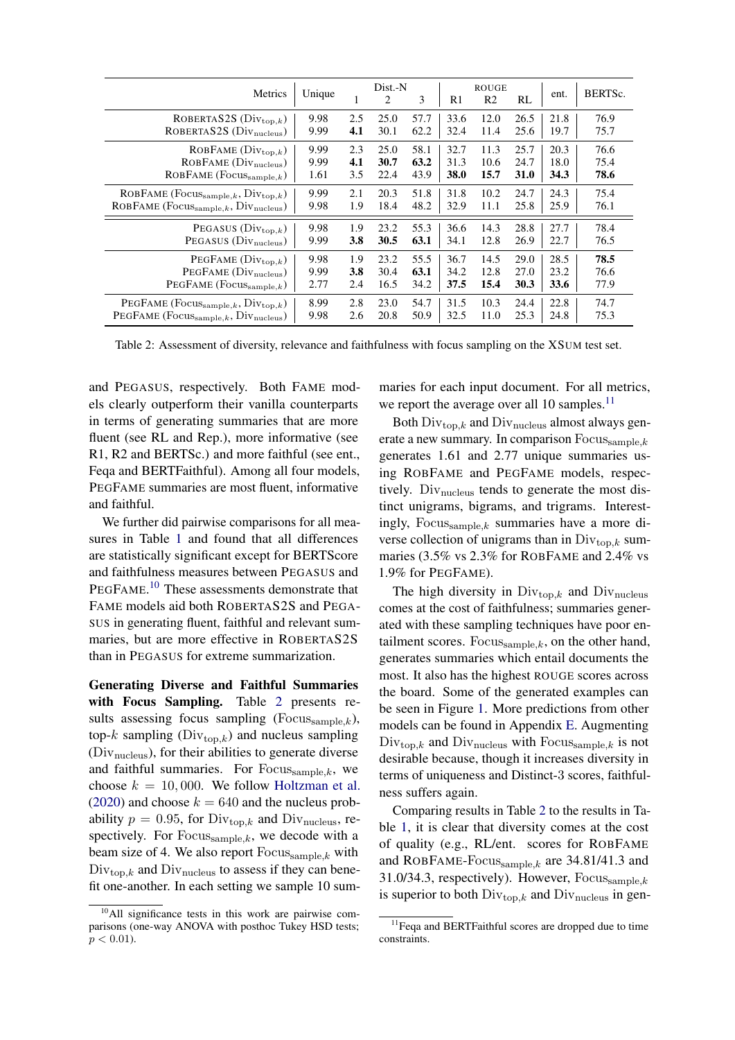<span id="page-6-1"></span>

| Metrics                                                        | Unique |     | Dist.-N<br>2 | 3    | R1   | <b>ROUGE</b><br>R <sub>2</sub> | RL          | ent. | BERTSc. |
|----------------------------------------------------------------|--------|-----|--------------|------|------|--------------------------------|-------------|------|---------|
| ROBERTAS2S $(Div_{top,k})$                                     | 9.98   | 2.5 | 25.0         | 57.7 | 33.6 | 12.0                           | 26.5        | 21.8 | 76.9    |
| ROBERTAS2S (Div <sub>nucleus</sub> )                           | 9.99   | 4.1 | 30.1         | 62.2 | 32.4 | 11.4                           | 25.6        | 19.7 | 75.7    |
| ROBFAME $(Div_{\text{top},k})$                                 | 9.99   | 2.3 | 25.0         | 58.1 | 32.7 | 11.3                           | 25.7        | 20.3 | 76.6    |
| ROBFAME (Div <sub>nucleus</sub> )                              | 9.99   | 4.1 | 30.7         | 63.2 | 31.3 | 10.6                           | 24.7        | 18.0 | 75.4    |
| $ROBFAME (Focus_{\text{sample},k})$                            | 1.61   | 3.5 | 22.4         | 43.9 | 38.0 | 15.7                           | <b>31.0</b> | 34.3 | 78.6    |
| ROBFAME (Focussample, k, $Div_{top,k}$ )                       | 9.99   | 2.1 | 20.3         | 51.8 | 31.8 | 10.2                           | 24.7        | 24.3 | 75.4    |
| ROBFAME ( $Focus_{\text{sample},k}$ , $Div_{\text{nucleus}}$ ) | 9.98   | 1.9 | 18.4         | 48.2 | 32.9 | 11.1                           | 25.8        | 25.9 | 76.1    |
| PEGASUS $(Div_{\text{top},k})$                                 | 9.98   | 1.9 | 23.2         | 55.3 | 36.6 | 14.3                           | 28.8        | 27.7 | 78.4    |
| PEGASUS (Div <sub>nucleus</sub> )                              | 9.99   | 3.8 | 30.5         | 63.1 | 34.1 | 12.8                           | 26.9        | 22.7 | 76.5    |
| PEGFAME $(Div_{top,k})$                                        | 9.98   | 1.9 | 23.2         | 55.5 | 36.7 | 14.5                           | 29.0        | 28.5 | 78.5    |
| PEGFAME (Div <sub>nucleus</sub> )                              | 9.99   | 3.8 | 30.4         | 63.1 | 34.2 | 12.8                           | 27.0        | 23.2 | 76.6    |
| PEGFAME $(Focus_{\text{sample},k})$                            | 2.77   | 2.4 | 16.5         | 34.2 | 37.5 | 15.4                           | 30.3        | 33.6 | 77.9    |
| PEGFAME (Focus, $\text{Div}_{\text{top},k}$ )                  | 8.99   | 2.8 | 23.0         | 54.7 | 31.5 | 10.3                           | 24.4        | 22.8 | 74.7    |
| PEGFAME ( $Focus_{\text{sample},k}, Div_{\text{nucleus}}$ )    | 9.98   | 2.6 | 20.8         | 50.9 | 32.5 | 11.0                           | 25.3        | 24.8 | 75.3    |

Table 2: Assessment of diversity, relevance and faithfulness with focus sampling on the XSUM test set.

and PEGASUS, respectively. Both FAME models clearly outperform their vanilla counterparts in terms of generating summaries that are more fluent (see RL and Rep.), more informative (see R1, R2 and BERTSc.) and more faithful (see ent., Feqa and BERTFaithful). Among all four models, PEGFAME summaries are most fluent, informative and faithful.

We further did pairwise comparisons for all measures in Table [1](#page-5-3) and found that all differences are statistically significant except for BERTScore and faithfulness measures between PEGASUS and PEGFAME.<sup>[10](#page-6-0)</sup> These assessments demonstrate that FAME models aid both ROBERTAS2S and PEGA-SUS in generating fluent, faithful and relevant summaries, but are more effective in ROBERTAS2S than in PEGASUS for extreme summarization.

Generating Diverse and Faithful Summaries with Focus Sampling. Table [2](#page-6-1) presents results assessing focus sampling ( $Focus_{\text{sample},k}$ ), top- $k$  sampling ( $Div_{top,k}$ ) and nucleus sampling  $(Div<sub>nucleus</sub>)$ , for their abilities to generate diverse and faithful summaries. For  $F$ ocus $_{\text{sample},k}$ , we choose  $k = 10,000$ . We follow [Holtzman et al.](#page-10-7) [\(2020\)](#page-10-7) and choose  $k = 640$  and the nucleus probability  $p = 0.95$ , for Div<sub>top,k</sub> and Div<sub>nucleus</sub>, respectively. For  $F_{\text{occissample},k}$ , we decode with a beam size of 4. We also report  $\text{Focus}_{\text{sample},k}$  with  $Div_{top,k}$  and  $Div_{nucleus}$  to assess if they can benefit one-another. In each setting we sample 10 sum-

maries for each input document. For all metrics, we report the average over all 10 samples. $^{11}$  $^{11}$  $^{11}$ 

Both  $Div_{top,k}$  and  $Div_{nucleus}$  almost always generate a new summary. In comparison  $Focus_{\text{sample},k}$ generates 1.61 and 2.77 unique summaries using ROBFAME and PEGFAME models, respectively.  $Div_{\text{nucleus}}$  tends to generate the most distinct unigrams, bigrams, and trigrams. Interestingly, Focussample,k summaries have a more diverse collection of unigrams than in  $Div_{\text{top},k}$  summaries (3.5% vs 2.3% for ROBFAME and 2.4% vs 1.9% for PEGFAME).

The high diversity in  $Div_{top,k}$  and  $Div_{nucleus}$ comes at the cost of faithfulness; summaries generated with these sampling techniques have poor entailment scores. Focus $_{\text{sample},k}$ , on the other hand, generates summaries which entail documents the most. It also has the highest ROUGE scores across the board. Some of the generated examples can be seen in Figure [1.](#page-0-0) More predictions from other models can be found in Appendix [E.](#page-15-1) Augmenting  $Div_{\text{top},k}$  and  $Div_{\text{nucleus}}$  with  $Focus_{\text{sample},k}$  is not desirable because, though it increases diversity in terms of uniqueness and Distinct-3 scores, faithfulness suffers again.

Comparing results in Table [2](#page-6-1) to the results in Table [1,](#page-5-3) it is clear that diversity comes at the cost of quality (e.g., RL/ent. scores for ROBFAME and ROBFAME-Focus $_{\text{sample},k}$  are 34.81/41.3 and 31.0/34.3, respectively). However,  $Focus_{\text{sample},k}$ is superior to both  $Div_{\text{top},k}$  and  $Div_{\text{nucleus}}$  in gen-

<span id="page-6-0"></span> $10$ All significance tests in this work are pairwise comparisons (one-way ANOVA with posthoc Tukey HSD tests;  $p < 0.01$ ).

<span id="page-6-2"></span><sup>&</sup>lt;sup>11</sup>Feqa and BERTFaithful scores are dropped due to time constraints.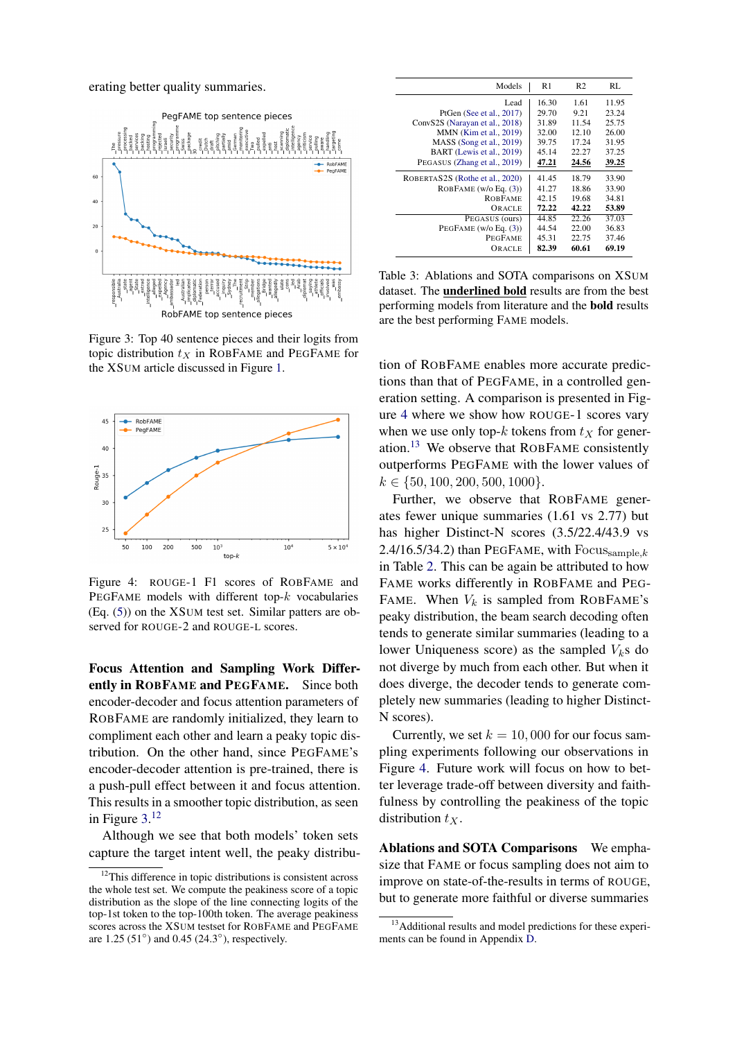erating better quality summaries.

<span id="page-7-0"></span>

Figure 3: Top 40 sentence pieces and their logits from topic distribution  $t_X$  in ROBFAME and PEGFAME for the XSUM article discussed in Figure [1.](#page-0-0)

<span id="page-7-2"></span>

Figure 4: ROUGE-1 F1 scores of ROBFAME and PEGFAME models with different top- $k$  vocabularies (Eq. [\(5\)](#page-3-4)) on the XSUM test set. Similar patters are observed for ROUGE-2 and ROUGE-L scores.

Focus Attention and Sampling Work Differently in ROBFAME and PEGFAME. Since both encoder-decoder and focus attention parameters of ROBFAME are randomly initialized, they learn to compliment each other and learn a peaky topic distribution. On the other hand, since PEGFAME's encoder-decoder attention is pre-trained, there is a push-pull effect between it and focus attention. This results in a smoother topic distribution, as seen in Figure [3.](#page-7-0) [12](#page-7-1)

Although we see that both models' token sets capture the target intent well, the peaky distribu-

<span id="page-7-4"></span>

| Models                          | R1    | R <sub>2</sub> | RL    |
|---------------------------------|-------|----------------|-------|
| Lead                            | 16.30 | 1.61           | 11.95 |
| PtGen (See et al., 2017)        | 29.70 | 9.21           | 23.24 |
| ConvS2S (Narayan et al., 2018)  | 31.89 | 11.54          | 25.75 |
| MMN (Kim et al., 2019)          | 32.00 | 12.10          | 26.00 |
| MASS (Song et al., 2019)        | 39.75 | 17.24          | 31.95 |
| BART (Lewis et al., 2019)       | 45.14 | 22.27          | 37.25 |
| PEGASUS (Zhang et al., 2019)    | 47.21 | 24.56          | 39.25 |
| ROBERTAS2S (Rothe et al., 2020) | 41.45 | 18.79          | 33.90 |
| ROBFAME $(w/o)Eq. (3))$         | 41.27 | 18.86          | 33.90 |
| <b>ROBFAME</b>                  | 42.15 | 19.68          | 34.81 |
| ORACLE                          | 72.22 | 42.22          | 53.89 |
| PEGASUS (ours)                  | 44.85 | 22.26          | 37.03 |
| PEGFAME $(w/o)$ Eq. $(3)$ )     | 44.54 | 22.00          | 36.83 |
| <b>PEGFAME</b>                  | 45.31 | 22.75          | 37.46 |
| ORACLE                          | 82.39 | 60.61          | 69.19 |

Table 3: Ablations and SOTA comparisons on XSUM dataset. The underlined bold results are from the best performing models from literature and the bold results are the best performing FAME models.

tion of ROBFAME enables more accurate predictions than that of PEGFAME, in a controlled generation setting. A comparison is presented in Figure [4](#page-7-2) where we show how ROUGE-1 scores vary when we use only top-k tokens from  $t<sub>X</sub>$  for generation.[13](#page-7-3) We observe that ROBFAME consistently outperforms PEGFAME with the lower values of  $k \in \{50, 100, 200, 500, 1000\}.$ 

Further, we observe that ROBFAME generates fewer unique summaries (1.61 vs 2.77) but has higher Distinct-N scores (3.5/22.4/43.9 vs 2.4/16.5/34.2) than PEGFAME, with  $Focus_{\text{sample},k}$ in Table [2.](#page-6-1) This can be again be attributed to how FAME works differently in ROBFAME and PEG-FAME. When  $V_k$  is sampled from ROBFAME's peaky distribution, the beam search decoding often tends to generate similar summaries (leading to a lower Uniqueness score) as the sampled  $V<sub>k</sub>$ s do not diverge by much from each other. But when it does diverge, the decoder tends to generate completely new summaries (leading to higher Distinct-N scores).

Currently, we set  $k = 10,000$  for our focus sampling experiments following our observations in Figure [4.](#page-7-2) Future work will focus on how to better leverage trade-off between diversity and faithfulness by controlling the peakiness of the topic distribution  $t<sub>x</sub>$ .

Ablations and SOTA Comparisons We emphasize that FAME or focus sampling does not aim to improve on state-of-the-results in terms of ROUGE, but to generate more faithful or diverse summaries

<span id="page-7-1"></span><sup>&</sup>lt;sup>12</sup>This difference in topic distributions is consistent across the whole test set. We compute the peakiness score of a topic distribution as the slope of the line connecting logits of the top-1st token to the top-100th token. The average peakiness scores across the XSUM testset for ROBFAME and PEGFAME are 1.25 (51°) and 0.45 (24.3°), respectively.

<span id="page-7-3"></span><sup>&</sup>lt;sup>13</sup>Additional results and model predictions for these experiments can be found in Appendix [D.](#page-15-2)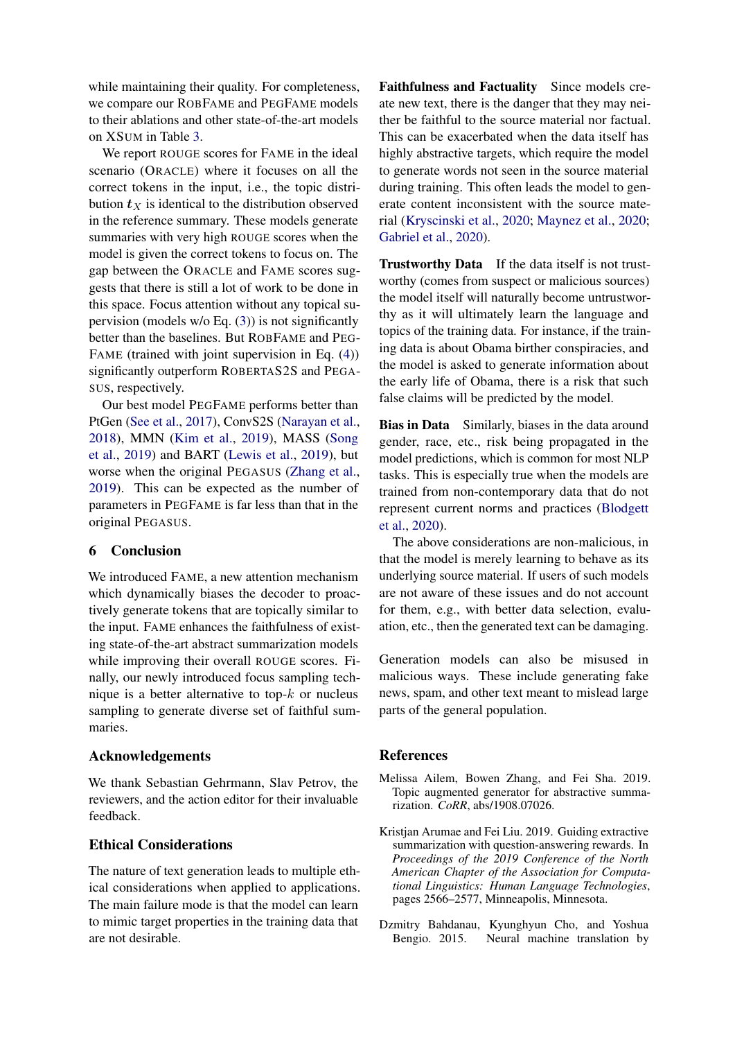while maintaining their quality. For completeness, we compare our ROBFAME and PEGFAME models to their ablations and other state-of-the-art models on XSUM in Table [3.](#page-7-4)

We report ROUGE scores for FAME in the ideal scenario (ORACLE) where it focuses on all the correct tokens in the input, i.e., the topic distribution  $t_X$  is identical to the distribution observed in the reference summary. These models generate summaries with very high ROUGE scores when the model is given the correct tokens to focus on. The gap between the ORACLE and FAME scores suggests that there is still a lot of work to be done in this space. Focus attention without any topical supervision (models w/o Eq.  $(3)$ ) is not significantly better than the baselines. But ROBFAME and PEG-FAME (trained with joint supervision in Eq.  $(4)$ ) significantly outperform ROBERTAS2S and PEGA-SUS, respectively.

Our best model PEGFAME performs better than PtGen [\(See et al.,](#page-12-4) [2017\)](#page-12-4), ConvS2S [\(Narayan et al.,](#page-11-7) [2018\)](#page-11-7), MMN [\(Kim et al.,](#page-10-16) [2019\)](#page-10-16), MASS [\(Song](#page-12-1) [et al.,](#page-12-1) [2019\)](#page-12-1) and BART [\(Lewis et al.,](#page-11-4) [2019\)](#page-11-4), but worse when the original PEGASUS [\(Zhang et al.,](#page-13-1) [2019\)](#page-13-1). This can be expected as the number of parameters in PEGFAME is far less than that in the original PEGASUS.

### 6 Conclusion

We introduced FAME, a new attention mechanism which dynamically biases the decoder to proactively generate tokens that are topically similar to the input. FAME enhances the faithfulness of existing state-of-the-art abstract summarization models while improving their overall ROUGE scores. Finally, our newly introduced focus sampling technique is a better alternative to top- $k$  or nucleus sampling to generate diverse set of faithful summaries.

#### Acknowledgements

We thank Sebastian Gehrmann, Slav Petrov, the reviewers, and the action editor for their invaluable feedback.

## Ethical Considerations

The nature of text generation leads to multiple ethical considerations when applied to applications. The main failure mode is that the model can learn to mimic target properties in the training data that are not desirable.

Faithfulness and Factuality Since models create new text, there is the danger that they may neither be faithful to the source material nor factual. This can be exacerbated when the data itself has highly abstractive targets, which require the model to generate words not seen in the source material during training. This often leads the model to generate content inconsistent with the source material [\(Kryscinski et al.,](#page-10-2) [2020;](#page-10-2) [Maynez et al.,](#page-11-5) [2020;](#page-11-5) [Gabriel et al.,](#page-10-3) [2020\)](#page-10-3).

Trustworthy Data If the data itself is not trustworthy (comes from suspect or malicious sources) the model itself will naturally become untrustworthy as it will ultimately learn the language and topics of the training data. For instance, if the training data is about Obama birther conspiracies, and the model is asked to generate information about the early life of Obama, there is a risk that such false claims will be predicted by the model.

Bias in Data Similarly, biases in the data around gender, race, etc., risk being propagated in the model predictions, which is common for most NLP tasks. This is especially true when the models are trained from non-contemporary data that do not represent current norms and practices [\(Blodgett](#page-9-17) [et al.,](#page-9-17) [2020\)](#page-9-17).

The above considerations are non-malicious, in that the model is merely learning to behave as its underlying source material. If users of such models are not aware of these issues and do not account for them, e.g., with better data selection, evaluation, etc., then the generated text can be damaging.

Generation models can also be misused in malicious ways. These include generating fake news, spam, and other text meant to mislead large parts of the general population.

### **References**

- <span id="page-8-1"></span>Melissa Ailem, Bowen Zhang, and Fei Sha. 2019. Topic augmented generator for abstractive summarization. *CoRR*, abs/1908.07026.
- <span id="page-8-2"></span>Kristjan Arumae and Fei Liu. 2019. Guiding extractive summarization with question-answering rewards. In *Proceedings of the 2019 Conference of the North American Chapter of the Association for Computational Linguistics: Human Language Technologies*, pages 2566–2577, Minneapolis, Minnesota.
- <span id="page-8-0"></span>Dzmitry Bahdanau, Kyunghyun Cho, and Yoshua Bengio. 2015. Neural machine translation by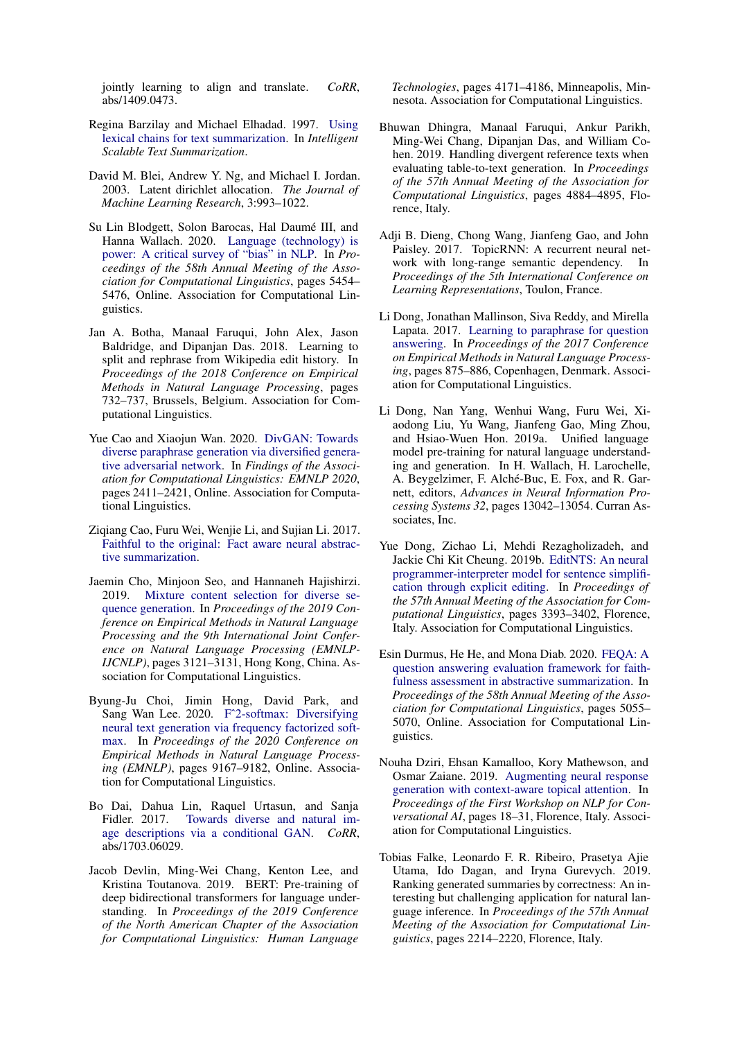jointly learning to align and translate. *CoRR*, abs/1409.0473.

- <span id="page-9-4"></span>Regina Barzilay and Michael Elhadad. 1997. [Using](https://www.aclweb.org/anthology/W97-0703) [lexical chains for text summarization.](https://www.aclweb.org/anthology/W97-0703) In *Intelligent Scalable Text Summarization*.
- <span id="page-9-7"></span>David M. Blei, Andrew Y. Ng, and Michael I. Jordan. 2003. Latent dirichlet allocation. *The Journal of Machine Learning Research*, 3:993–1022.
- <span id="page-9-17"></span>Su Lin Blodgett, Solon Barocas, Hal Daumé III, and Hanna Wallach. 2020. [Language \(technology\) is](https://doi.org/10.18653/v1/2020.acl-main.485) [power: A critical survey of "bias" in NLP.](https://doi.org/10.18653/v1/2020.acl-main.485) In *Proceedings of the 58th Annual Meeting of the Association for Computational Linguistics*, pages 5454– 5476, Online. Association for Computational Linguistics.
- <span id="page-9-14"></span>Jan A. Botha, Manaal Faruqui, John Alex, Jason Baldridge, and Dipanjan Das. 2018. Learning to split and rephrase from Wikipedia edit history. In *Proceedings of the 2018 Conference on Empirical Methods in Natural Language Processing*, pages 732–737, Brussels, Belgium. Association for Computational Linguistics.
- <span id="page-9-11"></span>Yue Cao and Xiaojun Wan. 2020. [DivGAN: Towards](https://www.aclweb.org/anthology/2020.findings-emnlp.218) [diverse paraphrase generation via diversified genera](https://www.aclweb.org/anthology/2020.findings-emnlp.218)[tive adversarial network.](https://www.aclweb.org/anthology/2020.findings-emnlp.218) In *Findings of the Association for Computational Linguistics: EMNLP 2020*, pages 2411–2421, Online. Association for Computational Linguistics.
- <span id="page-9-8"></span>Ziqiang Cao, Furu Wei, Wenjie Li, and Sujian Li. 2017. [Faithful to the original: Fact aware neural abstrac](http://arxiv.org/abs/1711.04434)[tive summarization.](http://arxiv.org/abs/1711.04434)
- <span id="page-9-12"></span>Jaemin Cho, Minjoon Seo, and Hannaneh Hajishirzi. 2019. [Mixture content selection for diverse se](https://doi.org/10.18653/v1/D19-1308)[quence generation.](https://doi.org/10.18653/v1/D19-1308) In *Proceedings of the 2019 Conference on Empirical Methods in Natural Language Processing and the 9th International Joint Conference on Natural Language Processing (EMNLP-IJCNLP)*, pages 3121–3131, Hong Kong, China. Association for Computational Linguistics.
- <span id="page-9-2"></span>Byung-Ju Choi, Jimin Hong, David Park, and Sang Wan Lee. 2020. [Fˆ2-softmax: Diversifying](https://www.aclweb.org/anthology/2020.emnlp-main.737) [neural text generation via frequency factorized soft](https://www.aclweb.org/anthology/2020.emnlp-main.737)[max.](https://www.aclweb.org/anthology/2020.emnlp-main.737) In *Proceedings of the 2020 Conference on Empirical Methods in Natural Language Processing (EMNLP)*, pages 9167–9182, Online. Association for Computational Linguistics.
- <span id="page-9-10"></span>Bo Dai, Dahua Lin, Raquel Urtasun, and Sanja Fidler. 2017. [Towards diverse and natural im](http://arxiv.org/abs/1703.06029)[age descriptions via a conditional GAN.](http://arxiv.org/abs/1703.06029) *CoRR*, abs/1703.06029.
- <span id="page-9-0"></span>Jacob Devlin, Ming-Wei Chang, Kenton Lee, and Kristina Toutanova. 2019. BERT: Pre-training of deep bidirectional transformers for language understanding. In *Proceedings of the 2019 Conference of the North American Chapter of the Association for Computational Linguistics: Human Language*

*Technologies*, pages 4171–4186, Minneapolis, Minnesota. Association for Computational Linguistics.

- <span id="page-9-13"></span>Bhuwan Dhingra, Manaal Faruqui, Ankur Parikh, Ming-Wei Chang, Dipanjan Das, and William Cohen. 2019. Handling divergent reference texts when evaluating table-to-text generation. In *Proceedings of the 57th Annual Meeting of the Association for Computational Linguistics*, pages 4884–4895, Florence, Italy.
- <span id="page-9-5"></span>Adji B. Dieng, Chong Wang, Jianfeng Gao, and John Paisley. 2017. TopicRNN: A recurrent neural network with long-range semantic dependency. In *Proceedings of the 5th International Conference on Learning Representations*, Toulon, France.
- <span id="page-9-9"></span>Li Dong, Jonathan Mallinson, Siva Reddy, and Mirella Lapata. 2017. [Learning to paraphrase for question](https://doi.org/10.18653/v1/D17-1091) [answering.](https://doi.org/10.18653/v1/D17-1091) In *Proceedings of the 2017 Conference on Empirical Methods in Natural Language Processing*, pages 875–886, Copenhagen, Denmark. Association for Computational Linguistics.
- <span id="page-9-1"></span>Li Dong, Nan Yang, Wenhui Wang, Furu Wei, Xiaodong Liu, Yu Wang, Jianfeng Gao, Ming Zhou, and Hsiao-Wuen Hon. 2019a. Unified language model pre-training for natural language understanding and generation. In H. Wallach, H. Larochelle, A. Beygelzimer, F. Alché-Buc, E. Fox, and R. Garnett, editors, *Advances in Neural Information Processing Systems 32*, pages 13042–13054. Curran Associates, Inc.
- <span id="page-9-3"></span>Yue Dong, Zichao Li, Mehdi Rezagholizadeh, and Jackie Chi Kit Cheung. 2019b. [EditNTS: An neural](https://doi.org/10.18653/v1/P19-1331) [programmer-interpreter model for sentence simplifi](https://doi.org/10.18653/v1/P19-1331)[cation through explicit editing.](https://doi.org/10.18653/v1/P19-1331) In *Proceedings of the 57th Annual Meeting of the Association for Computational Linguistics*, pages 3393–3402, Florence, Italy. Association for Computational Linguistics.
- <span id="page-9-15"></span>Esin Durmus, He He, and Mona Diab. 2020. [FEQA: A](https://doi.org/10.18653/v1/2020.acl-main.454) [question answering evaluation framework for faith](https://doi.org/10.18653/v1/2020.acl-main.454)[fulness assessment in abstractive summarization.](https://doi.org/10.18653/v1/2020.acl-main.454) In *Proceedings of the 58th Annual Meeting of the Association for Computational Linguistics*, pages 5055– 5070, Online. Association for Computational Linguistics.
- <span id="page-9-6"></span>Nouha Dziri, Ehsan Kamalloo, Kory Mathewson, and Osmar Zaiane. 2019. [Augmenting neural response](https://doi.org/10.18653/v1/W19-4103) [generation with context-aware topical attention.](https://doi.org/10.18653/v1/W19-4103) In *Proceedings of the First Workshop on NLP for Conversational AI*, pages 18–31, Florence, Italy. Association for Computational Linguistics.
- <span id="page-9-16"></span>Tobias Falke, Leonardo F. R. Ribeiro, Prasetya Ajie Utama, Ido Dagan, and Iryna Gurevych. 2019. Ranking generated summaries by correctness: An interesting but challenging application for natural language inference. In *Proceedings of the 57th Annual Meeting of the Association for Computational Linguistics*, pages 2214–2220, Florence, Italy.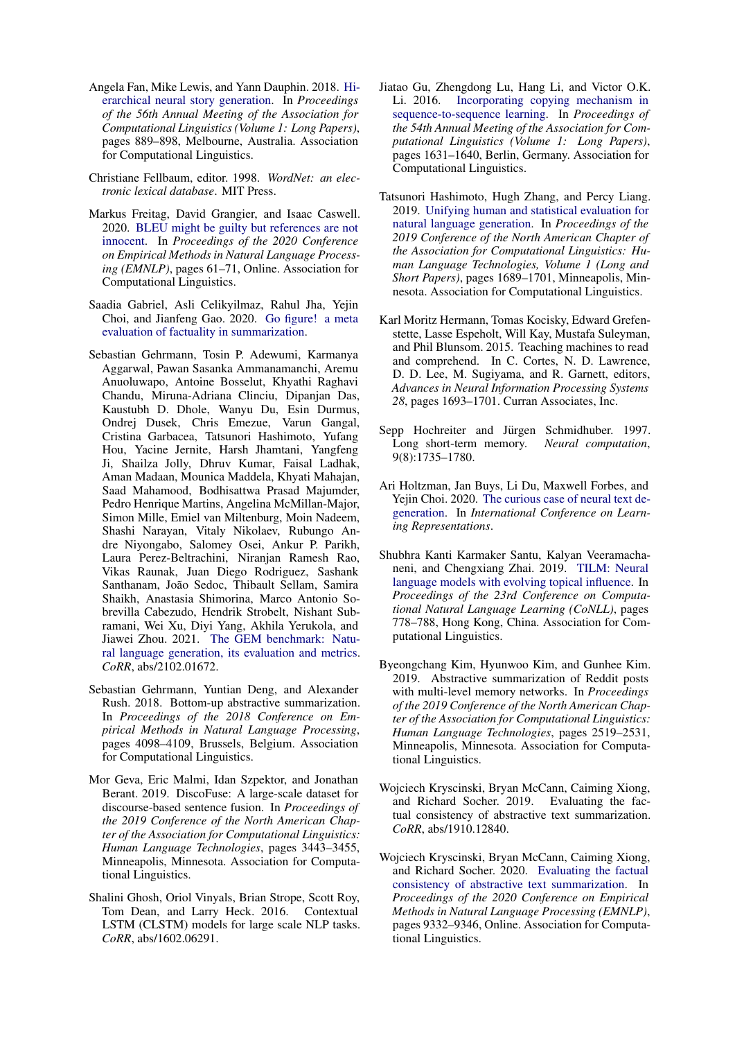- <span id="page-10-4"></span>Angela Fan, Mike Lewis, and Yann Dauphin. 2018. [Hi](https://doi.org/10.18653/v1/P18-1082)[erarchical neural story generation.](https://doi.org/10.18653/v1/P18-1082) In *Proceedings of the 56th Annual Meeting of the Association for Computational Linguistics (Volume 1: Long Papers)*, pages 889–898, Melbourne, Australia. Association for Computational Linguistics.
- <span id="page-10-9"></span>Christiane Fellbaum, editor. 1998. *WordNet: an electronic lexical database*. MIT Press.
- <span id="page-10-5"></span>Markus Freitag, David Grangier, and Isaac Caswell. 2020. [BLEU might be guilty but references are not](https://www.aclweb.org/anthology/2020.emnlp-main.5) [innocent.](https://www.aclweb.org/anthology/2020.emnlp-main.5) In *Proceedings of the 2020 Conference on Empirical Methods in Natural Language Processing (EMNLP)*, pages 61–71, Online. Association for Computational Linguistics.
- <span id="page-10-3"></span>Saadia Gabriel, Asli Celikyilmaz, Rahul Jha, Yejin Choi, and Jianfeng Gao. 2020. [Go figure! a meta](http://arxiv.org/abs/2010.12834) [evaluation of factuality in summarization.](http://arxiv.org/abs/2010.12834)
- <span id="page-10-15"></span>Sebastian Gehrmann, Tosin P. Adewumi, Karmanya Aggarwal, Pawan Sasanka Ammanamanchi, Aremu Anuoluwapo, Antoine Bosselut, Khyathi Raghavi Chandu, Miruna-Adriana Clinciu, Dipanjan Das, Kaustubh D. Dhole, Wanyu Du, Esin Durmus, Ondrej Dusek, Chris Emezue, Varun Gangal, Cristina Garbacea, Tatsunori Hashimoto, Yufang Hou, Yacine Jernite, Harsh Jhamtani, Yangfeng Ji, Shailza Jolly, Dhruv Kumar, Faisal Ladhak, Aman Madaan, Mounica Maddela, Khyati Mahajan, Saad Mahamood, Bodhisattwa Prasad Majumder, Pedro Henrique Martins, Angelina McMillan-Major, Simon Mille, Emiel van Miltenburg, Moin Nadeem, Shashi Narayan, Vitaly Nikolaev, Rubungo Andre Niyongabo, Salomey Osei, Ankur P. Parikh, Laura Perez-Beltrachini, Niranjan Ramesh Rao, Vikas Raunak, Juan Diego Rodriguez, Sashank Santhanam, João Sedoc, Thibault Sellam, Samira Shaikh, Anastasia Shimorina, Marco Antonio Sobrevilla Cabezudo, Hendrik Strobelt, Nishant Subramani, Wei Xu, Diyi Yang, Akhila Yerukola, and Jiawei Zhou. 2021. [The GEM benchmark: Natu](https://arxiv.org/abs/2102.01672)[ral language generation, its evaluation and metrics.](https://arxiv.org/abs/2102.01672) *CoRR*, abs/2102.01672.
- <span id="page-10-8"></span>Sebastian Gehrmann, Yuntian Deng, and Alexander Rush. 2018. Bottom-up abstractive summarization. In *Proceedings of the 2018 Conference on Empirical Methods in Natural Language Processing*, pages 4098–4109, Brussels, Belgium. Association for Computational Linguistics.
- <span id="page-10-13"></span>Mor Geva, Eric Malmi, Idan Szpektor, and Jonathan Berant. 2019. DiscoFuse: A large-scale dataset for discourse-based sentence fusion. In *Proceedings of the 2019 Conference of the North American Chapter of the Association for Computational Linguistics: Human Language Technologies*, pages 3443–3455, Minneapolis, Minnesota. Association for Computational Linguistics.
- <span id="page-10-10"></span>Shalini Ghosh, Oriol Vinyals, Brian Strope, Scott Roy, Tom Dean, and Larry Heck. 2016. Contextual LSTM (CLSTM) models for large scale NLP tasks. *CoRR*, abs/1602.06291.
- <span id="page-10-1"></span>Jiatao Gu, Zhengdong Lu, Hang Li, and Victor O.K. Li. 2016. [Incorporating copying mechanism in](https://doi.org/10.18653/v1/P16-1154) [sequence-to-sequence learning.](https://doi.org/10.18653/v1/P16-1154) In *Proceedings of the 54th Annual Meeting of the Association for Computational Linguistics (Volume 1: Long Papers)*, pages 1631–1640, Berlin, Germany. Association for Computational Linguistics.
- <span id="page-10-6"></span>Tatsunori Hashimoto, Hugh Zhang, and Percy Liang. 2019. [Unifying human and statistical evaluation for](https://doi.org/10.18653/v1/N19-1169) [natural language generation.](https://doi.org/10.18653/v1/N19-1169) In *Proceedings of the 2019 Conference of the North American Chapter of the Association for Computational Linguistics: Human Language Technologies, Volume 1 (Long and Short Papers)*, pages 1689–1701, Minneapolis, Minnesota. Association for Computational Linguistics.
- <span id="page-10-12"></span>Karl Moritz Hermann, Tomas Kocisky, Edward Grefenstette, Lasse Espeholt, Will Kay, Mustafa Suleyman, and Phil Blunsom. 2015. Teaching machines to read and comprehend. In C. Cortes, N. D. Lawrence, D. D. Lee, M. Sugiyama, and R. Garnett, editors, *Advances in Neural Information Processing Systems 28*, pages 1693–1701. Curran Associates, Inc.
- <span id="page-10-0"></span>Sepp Hochreiter and Jürgen Schmidhuber. 1997. Long short-term memory. *Neural computation*, 9(8):1735–1780.
- <span id="page-10-7"></span>Ari Holtzman, Jan Buys, Li Du, Maxwell Forbes, and Yejin Choi. 2020. [The curious case of neural text de](https://openreview.net/forum?id=rygGQyrFvH)[generation.](https://openreview.net/forum?id=rygGQyrFvH) In *International Conference on Learning Representations*.
- <span id="page-10-11"></span>Shubhra Kanti Karmaker Santu, Kalyan Veeramachaneni, and Chengxiang Zhai. 2019. [TILM: Neural](https://doi.org/10.18653/v1/K19-1073) [language models with evolving topical influence.](https://doi.org/10.18653/v1/K19-1073) In *Proceedings of the 23rd Conference on Computational Natural Language Learning (CoNLL)*, pages 778–788, Hong Kong, China. Association for Computational Linguistics.
- <span id="page-10-16"></span>Byeongchang Kim, Hyunwoo Kim, and Gunhee Kim. 2019. Abstractive summarization of Reddit posts with multi-level memory networks. In *Proceedings of the 2019 Conference of the North American Chapter of the Association for Computational Linguistics: Human Language Technologies*, pages 2519–2531, Minneapolis, Minnesota. Association for Computational Linguistics.
- <span id="page-10-14"></span>Wojciech Kryscinski, Bryan McCann, Caiming Xiong, and Richard Socher. 2019. Evaluating the factual consistency of abstractive text summarization. *CoRR*, abs/1910.12840.
- <span id="page-10-2"></span>Wojciech Kryscinski, Bryan McCann, Caiming Xiong, and Richard Socher. 2020. [Evaluating the factual](https://www.aclweb.org/anthology/2020.emnlp-main.750) [consistency of abstractive text summarization.](https://www.aclweb.org/anthology/2020.emnlp-main.750) In *Proceedings of the 2020 Conference on Empirical Methods in Natural Language Processing (EMNLP)*, pages 9332–9346, Online. Association for Computational Linguistics.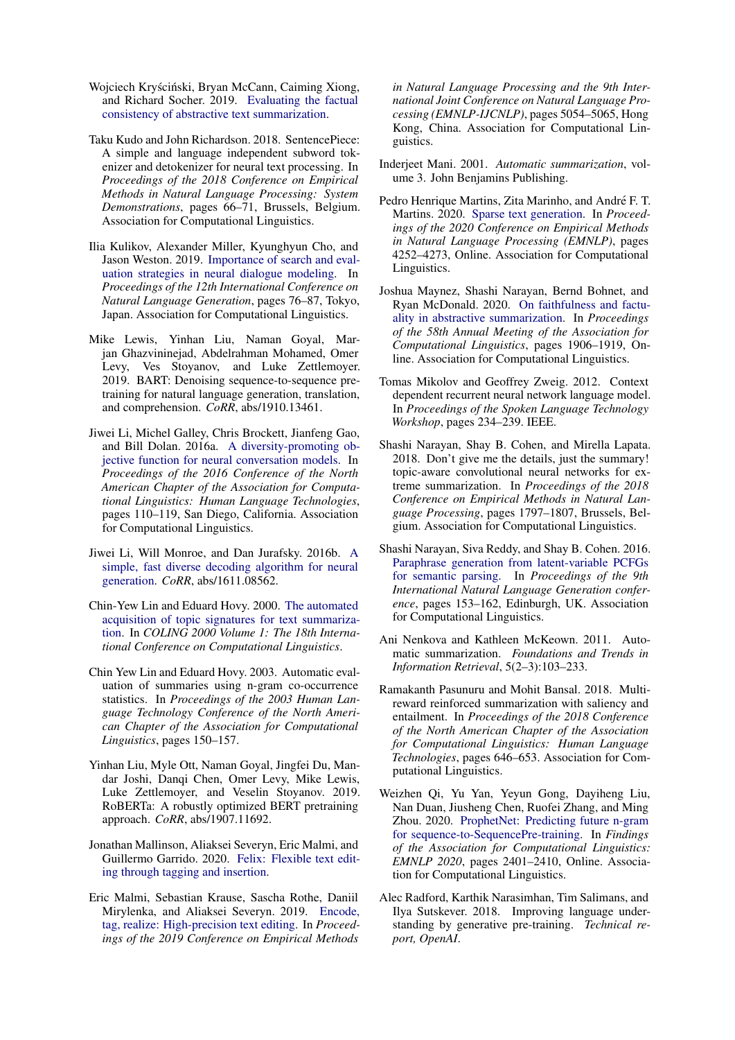- <span id="page-11-17"></span>Woiciech Kryściński, Bryan McCann, Caiming Xiong, and Richard Socher. 2019. [Evaluating the factual](http://arxiv.org/abs/1910.12840) [consistency of abstractive text summarization.](http://arxiv.org/abs/1910.12840)
- <span id="page-11-15"></span>Taku Kudo and John Richardson. 2018. SentencePiece: A simple and language independent subword tokenizer and detokenizer for neural text processing. In *Proceedings of the 2018 Conference on Empirical Methods in Natural Language Processing: System Demonstrations*, pages 66–71, Brussels, Belgium. Association for Computational Linguistics.
- <span id="page-11-6"></span>Ilia Kulikov, Alexander Miller, Kyunghyun Cho, and Jason Weston. 2019. [Importance of search and eval](https://doi.org/10.18653/v1/W19-8609)[uation strategies in neural dialogue modeling.](https://doi.org/10.18653/v1/W19-8609) In *Proceedings of the 12th International Conference on Natural Language Generation*, pages 76–87, Tokyo, Japan. Association for Computational Linguistics.
- <span id="page-11-4"></span>Mike Lewis, Yinhan Liu, Naman Goyal, Marjan Ghazvininejad, Abdelrahman Mohamed, Omer Levy, Ves Stoyanov, and Luke Zettlemoyer. 2019. BART: Denoising sequence-to-sequence pretraining for natural language generation, translation, and comprehension. *CoRR*, abs/1910.13461.
- <span id="page-11-19"></span>Jiwei Li, Michel Galley, Chris Brockett, Jianfeng Gao, and Bill Dolan. 2016a. [A diversity-promoting ob](https://doi.org/10.18653/v1/N16-1014)[jective function for neural conversation models.](https://doi.org/10.18653/v1/N16-1014) In *Proceedings of the 2016 Conference of the North American Chapter of the Association for Computational Linguistics: Human Language Technologies*, pages 110–119, San Diego, California. Association for Computational Linguistics.
- <span id="page-11-14"></span>Jiwei Li, Will Monroe, and Dan Jurafsky. 2016b. [A](http://arxiv.org/abs/1611.08562) [simple, fast diverse decoding algorithm for neural](http://arxiv.org/abs/1611.08562) [generation.](http://arxiv.org/abs/1611.08562) *CoRR*, abs/1611.08562.
- <span id="page-11-10"></span>Chin-Yew Lin and Eduard Hovy. 2000. [The automated](https://www.aclweb.org/anthology/C00-1072) [acquisition of topic signatures for text summariza](https://www.aclweb.org/anthology/C00-1072)[tion.](https://www.aclweb.org/anthology/C00-1072) In *COLING 2000 Volume 1: The 18th International Conference on Computational Linguistics*.
- <span id="page-11-16"></span>Chin Yew Lin and Eduard Hovy. 2003. Automatic evaluation of summaries using n-gram co-occurrence statistics. In *Proceedings of the 2003 Human Language Technology Conference of the North American Chapter of the Association for Computational Linguistics*, pages 150–157.
- <span id="page-11-3"></span>Yinhan Liu, Myle Ott, Naman Goyal, Jingfei Du, Mandar Joshi, Danqi Chen, Omer Levy, Mike Lewis, Luke Zettlemoyer, and Veselin Stoyanov. 2019. RoBERTa: A robustly optimized BERT pretraining approach. *CoRR*, abs/1907.11692.
- <span id="page-11-9"></span>Jonathan Mallinson, Aliaksei Severyn, Eric Malmi, and Guillermo Garrido. 2020. [Felix: Flexible text edit](http://arxiv.org/abs/2003.10687)[ing through tagging and insertion.](http://arxiv.org/abs/2003.10687)
- <span id="page-11-8"></span>Eric Malmi, Sebastian Krause, Sascha Rothe, Daniil Mirylenka, and Aliaksei Severyn. 2019. [Encode,](https://doi.org/10.18653/v1/D19-1510) [tag, realize: High-precision text editing.](https://doi.org/10.18653/v1/D19-1510) In *Proceedings of the 2019 Conference on Empirical Methods*

*in Natural Language Processing and the 9th International Joint Conference on Natural Language Processing (EMNLP-IJCNLP)*, pages 5054–5065, Hong Kong, China. Association for Computational Linguistics.

- <span id="page-11-0"></span>Inderjeet Mani. 2001. *Automatic summarization*, volume 3. John Benjamins Publishing.
- <span id="page-11-12"></span>Pedro Henrique Martins, Zita Marinho, and André F. T. Martins. 2020. [Sparse text generation.](https://www.aclweb.org/anthology/2020.emnlp-main.348) In *Proceedings of the 2020 Conference on Empirical Methods in Natural Language Processing (EMNLP)*, pages 4252–4273, Online. Association for Computational Linguistics.
- <span id="page-11-5"></span>Joshua Maynez, Shashi Narayan, Bernd Bohnet, and Ryan McDonald. 2020. [On faithfulness and factu](https://doi.org/10.18653/v1/2020.acl-main.173)[ality in abstractive summarization.](https://doi.org/10.18653/v1/2020.acl-main.173) In *Proceedings of the 58th Annual Meeting of the Association for Computational Linguistics*, pages 1906–1919, Online. Association for Computational Linguistics.
- <span id="page-11-11"></span>Tomas Mikolov and Geoffrey Zweig. 2012. Context dependent recurrent neural network language model. In *Proceedings of the Spoken Language Technology Workshop*, pages 234–239. IEEE.
- <span id="page-11-7"></span>Shashi Narayan, Shay B. Cohen, and Mirella Lapata. 2018. Don't give me the details, just the summary! topic-aware convolutional neural networks for extreme summarization. In *Proceedings of the 2018 Conference on Empirical Methods in Natural Language Processing*, pages 1797–1807, Brussels, Belgium. Association for Computational Linguistics.
- <span id="page-11-13"></span>Shashi Narayan, Siva Reddy, and Shay B. Cohen. 2016. [Paraphrase generation from latent-variable PCFGs](https://doi.org/10.18653/v1/W16-6625) [for semantic parsing.](https://doi.org/10.18653/v1/W16-6625) In *Proceedings of the 9th International Natural Language Generation conference*, pages 153–162, Edinburgh, UK. Association for Computational Linguistics.
- <span id="page-11-1"></span>Ani Nenkova and Kathleen McKeown. 2011. Automatic summarization. *Foundations and Trends in Information Retrieval*, 5(2–3):103–233.
- <span id="page-11-18"></span>Ramakanth Pasunuru and Mohit Bansal. 2018. Multireward reinforced summarization with saliency and entailment. In *Proceedings of the 2018 Conference of the North American Chapter of the Association for Computational Linguistics: Human Language Technologies*, pages 646–653. Association for Computational Linguistics.
- <span id="page-11-20"></span>Weizhen Qi, Yu Yan, Yeyun Gong, Dayiheng Liu, Nan Duan, Jiusheng Chen, Ruofei Zhang, and Ming Zhou. 2020. [ProphetNet: Predicting future n-gram](https://www.aclweb.org/anthology/2020.findings-emnlp.217) [for sequence-to-SequencePre-training.](https://www.aclweb.org/anthology/2020.findings-emnlp.217) In *Findings of the Association for Computational Linguistics: EMNLP 2020*, pages 2401–2410, Online. Association for Computational Linguistics.
- <span id="page-11-2"></span>Alec Radford, Karthik Narasimhan, Tim Salimans, and Ilya Sutskever. 2018. Improving language understanding by generative pre-training. *Technical report, OpenAI*.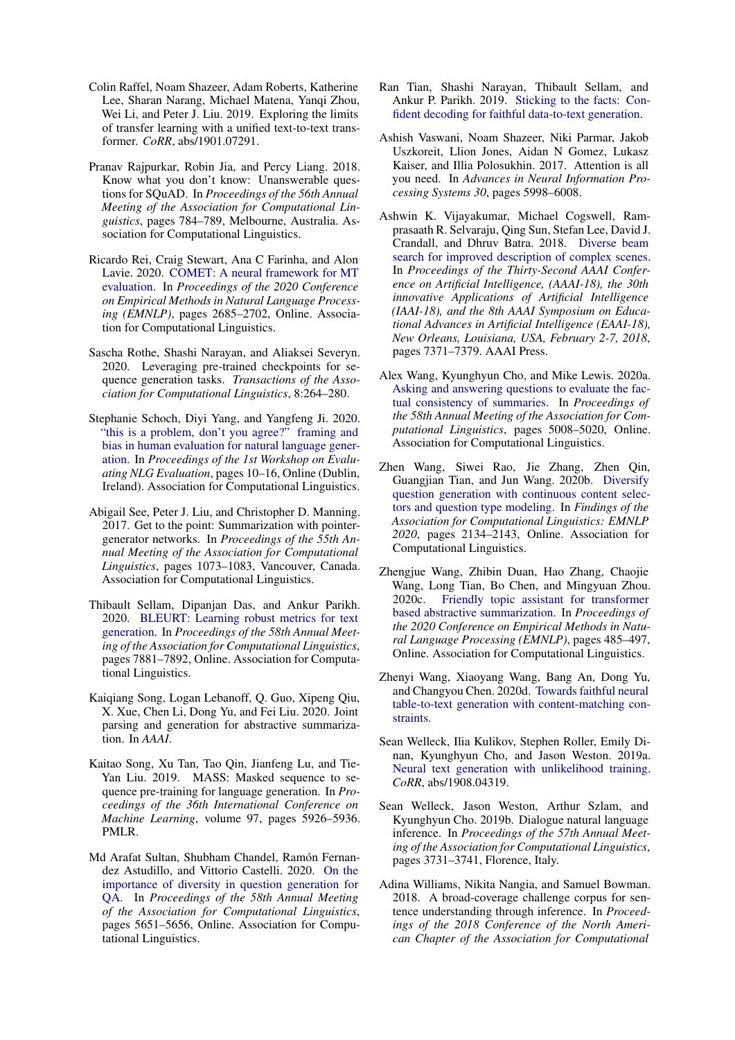- <span id="page-12-3"></span>Colin Raffel, Noam Shazeer, Adam Roberts, Katherine Lee, Sharan Narang, Michael Matena, Yanqi Zhou, Wei Li, and Peter J. Liu. 2019. Exploring the limits of transfer learning with a unified text-to-text transformer. *CoRR*, abs/1901.07291.
- <span id="page-12-19"></span>Pranav Rajpurkar, Robin Jia, and Percy Liang. 2018. Know what you don't know: Unanswerable questions for SQuAD. In *Proceedings of the 56th Annual Meeting of the Association for Computational Linguistics*, pages 784–789, Melbourne, Australia. Association for Computational Linguistics.
- <span id="page-12-15"></span>Ricardo Rei, Craig Stewart, Ana C Farinha, and Alon Lavie. 2020. [COMET: A neural framework for MT](https://doi.org/10.18653/v1/2020.emnlp-main.213) [evaluation.](https://doi.org/10.18653/v1/2020.emnlp-main.213) In *Proceedings of the 2020 Conference on Empirical Methods in Natural Language Processing (EMNLP)*, pages 2685–2702, Online. Association for Computational Linguistics.
- <span id="page-12-2"></span>Sascha Rothe, Shashi Narayan, and Aliaksei Severyn. 2020. Leveraging pre-trained checkpoints for sequence generation tasks. *Transactions of the Association for Computational Linguistics*, 8:264–280.
- <span id="page-12-13"></span>Stephanie Schoch, Diyi Yang, and Yangfeng Ji. 2020. ["this is a problem, don't you agree?" framing and](https://www.aclweb.org/anthology/2020.evalnlgeval-1.2) [bias in human evaluation for natural language gener](https://www.aclweb.org/anthology/2020.evalnlgeval-1.2)[ation.](https://www.aclweb.org/anthology/2020.evalnlgeval-1.2) In *Proceedings of the 1st Workshop on Evaluating NLG Evaluation*, pages 10–16, Online (Dublin, Ireland). Association for Computational Linguistics.
- <span id="page-12-4"></span>Abigail See, Peter J. Liu, and Christopher D. Manning. 2017. Get to the point: Summarization with pointergenerator networks. In *Proceedings of the 55th Annual Meeting of the Association for Computational Linguistics*, pages 1073–1083, Vancouver, Canada. Association for Computational Linguistics.
- <span id="page-12-14"></span>Thibault Sellam, Dipanjan Das, and Ankur Parikh. 2020. [BLEURT: Learning robust metrics for text](https://doi.org/10.18653/v1/2020.acl-main.704) [generation.](https://doi.org/10.18653/v1/2020.acl-main.704) In *Proceedings of the 58th Annual Meeting of the Association for Computational Linguistics*, pages 7881–7892, Online. Association for Computational Linguistics.
- <span id="page-12-6"></span>Kaiqiang Song, Logan Lebanoff, Q. Guo, Xipeng Qiu, X. Xue, Chen Li, Dong Yu, and Fei Liu. 2020. Joint parsing and generation for abstractive summarization. In *AAAI*.
- <span id="page-12-1"></span>Kaitao Song, Xu Tan, Tao Qin, Jianfeng Lu, and Tie-Yan Liu. 2019. MASS: Masked sequence to sequence pre-training for language generation. In *Proceedings of the 36th International Conference on Machine Learning*, volume 97, pages 5926–5936. PMLR.
- <span id="page-12-11"></span>Md Arafat Sultan, Shubham Chandel, Ramón Fernandez Astudillo, and Vittorio Castelli. 2020. [On the](https://doi.org/10.18653/v1/2020.acl-main.500) [importance of diversity in question generation for](https://doi.org/10.18653/v1/2020.acl-main.500) [QA.](https://doi.org/10.18653/v1/2020.acl-main.500) In *Proceedings of the 58th Annual Meeting of the Association for Computational Linguistics*, pages 5651–5656, Online. Association for Computational Linguistics.
- <span id="page-12-7"></span>Ran Tian, Shashi Narayan, Thibault Sellam, and Ankur P. Parikh. 2019. [Sticking to the facts: Con](http://arxiv.org/abs/1910.08684)[fident decoding for faithful data-to-text generation.](http://arxiv.org/abs/1910.08684)
- <span id="page-12-0"></span>Ashish Vaswani, Noam Shazeer, Niki Parmar, Jakob Uszkoreit, Llion Jones, Aidan N Gomez, Lukasz Kaiser, and Illia Polosukhin. 2017. Attention is all you need. In *Advances in Neural Information Processing Systems 30*, pages 5998–6008.
- <span id="page-12-9"></span>Ashwin K. Vijayakumar, Michael Cogswell, Ramprasaath R. Selvaraju, Qing Sun, Stefan Lee, David J. Crandall, and Dhruv Batra. 2018. [Diverse beam](https://www.aaai.org/ocs/index.php/AAAI/AAAI18/paper/view/17329) [search for improved description of complex scenes.](https://www.aaai.org/ocs/index.php/AAAI/AAAI18/paper/view/17329) In *Proceedings of the Thirty-Second AAAI Conference on Artificial Intelligence, (AAAI-18), the 30th innovative Applications of Artificial Intelligence (IAAI-18), and the 8th AAAI Symposium on Educational Advances in Artificial Intelligence (EAAI-18), New Orleans, Louisiana, USA, February 2-7, 2018*, pages 7371–7379. AAAI Press.
- <span id="page-12-17"></span>Alex Wang, Kyunghyun Cho, and Mike Lewis. 2020a. [Asking and answering questions to evaluate the fac](https://doi.org/10.18653/v1/2020.acl-main.450)[tual consistency of summaries.](https://doi.org/10.18653/v1/2020.acl-main.450) In *Proceedings of the 58th Annual Meeting of the Association for Computational Linguistics*, pages 5008–5020, Online. Association for Computational Linguistics.
- <span id="page-12-12"></span>Zhen Wang, Siwei Rao, Jie Zhang, Zhen Qin, Guangjian Tian, and Jun Wang. 2020b. [Diversify](https://www.aclweb.org/anthology/2020.findings-emnlp.194) [question generation with continuous content selec](https://www.aclweb.org/anthology/2020.findings-emnlp.194)[tors and question type modeling.](https://www.aclweb.org/anthology/2020.findings-emnlp.194) In *Findings of the Association for Computational Linguistics: EMNLP 2020*, pages 2134–2143, Online. Association for Computational Linguistics.
- <span id="page-12-5"></span>Zhengjue Wang, Zhibin Duan, Hao Zhang, Chaojie Wang, Long Tian, Bo Chen, and Mingyuan Zhou. 2020c. [Friendly topic assistant for transformer](https://www.aclweb.org/anthology/2020.emnlp-main.35) [based abstractive summarization.](https://www.aclweb.org/anthology/2020.emnlp-main.35) In *Proceedings of the 2020 Conference on Empirical Methods in Natural Language Processing (EMNLP)*, pages 485–497, Online. Association for Computational Linguistics.
- <span id="page-12-8"></span>Zhenyi Wang, Xiaoyang Wang, Bang An, Dong Yu, and Changyou Chen. 2020d. [Towards faithful neural](http://arxiv.org/abs/2005.00969) [table-to-text generation with content-matching con](http://arxiv.org/abs/2005.00969)[straints.](http://arxiv.org/abs/2005.00969)
- <span id="page-12-10"></span>Sean Welleck, Ilia Kulikov, Stephen Roller, Emily Dinan, Kyunghyun Cho, and Jason Weston. 2019a. [Neural text generation with unlikelihood training.](http://arxiv.org/abs/1908.04319) *CoRR*, abs/1908.04319.
- <span id="page-12-16"></span>Sean Welleck, Jason Weston, Arthur Szlam, and Kyunghyun Cho. 2019b. Dialogue natural language inference. In *Proceedings of the 57th Annual Meeting of the Association for Computational Linguistics*, pages 3731–3741, Florence, Italy.
- <span id="page-12-18"></span>Adina Williams, Nikita Nangia, and Samuel Bowman. 2018. A broad-coverage challenge corpus for sentence understanding through inference. In *Proceedings of the 2018 Conference of the North American Chapter of the Association for Computational*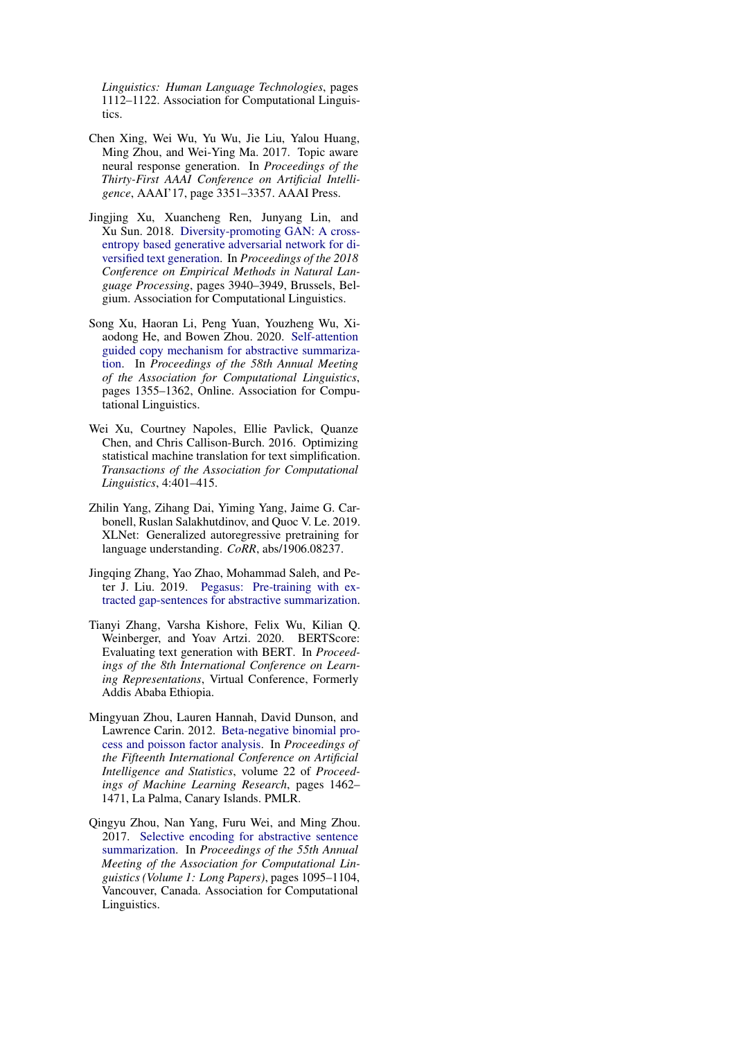*Linguistics: Human Language Technologies*, pages 1112–1122. Association for Computational Linguistics.

- <span id="page-13-4"></span>Chen Xing, Wei Wu, Yu Wu, Jie Liu, Yalou Huang, Ming Zhou, and Wei-Ying Ma. 2017. Topic aware neural response generation. In *Proceedings of the Thirty-First AAAI Conference on Artificial Intelligence*, AAAI'17, page 3351–3357. AAAI Press.
- <span id="page-13-6"></span>Jingjing Xu, Xuancheng Ren, Junyang Lin, and Xu Sun. 2018. [Diversity-promoting GAN: A cross](https://doi.org/10.18653/v1/D18-1428)[entropy based generative adversarial network for di](https://doi.org/10.18653/v1/D18-1428)[versified text generation.](https://doi.org/10.18653/v1/D18-1428) In *Proceedings of the 2018 Conference on Empirical Methods in Natural Language Processing*, pages 3940–3949, Brussels, Belgium. Association for Computational Linguistics.
- <span id="page-13-2"></span>Song Xu, Haoran Li, Peng Yuan, Youzheng Wu, Xiaodong He, and Bowen Zhou. 2020. [Self-attention](https://doi.org/10.18653/v1/2020.acl-main.125) [guided copy mechanism for abstractive summariza](https://doi.org/10.18653/v1/2020.acl-main.125)[tion.](https://doi.org/10.18653/v1/2020.acl-main.125) In *Proceedings of the 58th Annual Meeting of the Association for Computational Linguistics*, pages 1355–1362, Online. Association for Computational Linguistics.
- <span id="page-13-8"></span>Wei Xu, Courtney Napoles, Ellie Pavlick, Quanze Chen, and Chris Callison-Burch. 2016. Optimizing statistical machine translation for text simplification. *Transactions of the Association for Computational Linguistics*, 4:401–415.
- <span id="page-13-0"></span>Zhilin Yang, Zihang Dai, Yiming Yang, Jaime G. Carbonell, Ruslan Salakhutdinov, and Quoc V. Le. 2019. XLNet: Generalized autoregressive pretraining for language understanding. *CoRR*, abs/1906.08237.
- <span id="page-13-1"></span>Jingqing Zhang, Yao Zhao, Mohammad Saleh, and Peter J. Liu. 2019. [Pegasus: Pre-training with ex](http://arxiv.org/abs/1912.08777)[tracted gap-sentences for abstractive summarization.](http://arxiv.org/abs/1912.08777)
- <span id="page-13-7"></span>Tianyi Zhang, Varsha Kishore, Felix Wu, Kilian Q. Weinberger, and Yoav Artzi. 2020. BERTScore: Evaluating text generation with BERT. In *Proceedings of the 8th International Conference on Learning Representations*, Virtual Conference, Formerly Addis Ababa Ethiopia.
- <span id="page-13-5"></span>Mingyuan Zhou, Lauren Hannah, David Dunson, and Lawrence Carin. 2012. [Beta-negative binomial pro](http://proceedings.mlr.press/v22/zhou12c.html)[cess and poisson factor analysis.](http://proceedings.mlr.press/v22/zhou12c.html) In *Proceedings of the Fifteenth International Conference on Artificial Intelligence and Statistics*, volume 22 of *Proceedings of Machine Learning Research*, pages 1462– 1471, La Palma, Canary Islands. PMLR.
- <span id="page-13-3"></span>Qingyu Zhou, Nan Yang, Furu Wei, and Ming Zhou. 2017. [Selective encoding for abstractive sentence](https://doi.org/10.18653/v1/P17-1101) [summarization.](https://doi.org/10.18653/v1/P17-1101) In *Proceedings of the 55th Annual Meeting of the Association for Computational Linguistics (Volume 1: Long Papers)*, pages 1095–1104, Vancouver, Canada. Association for Computational Linguistics.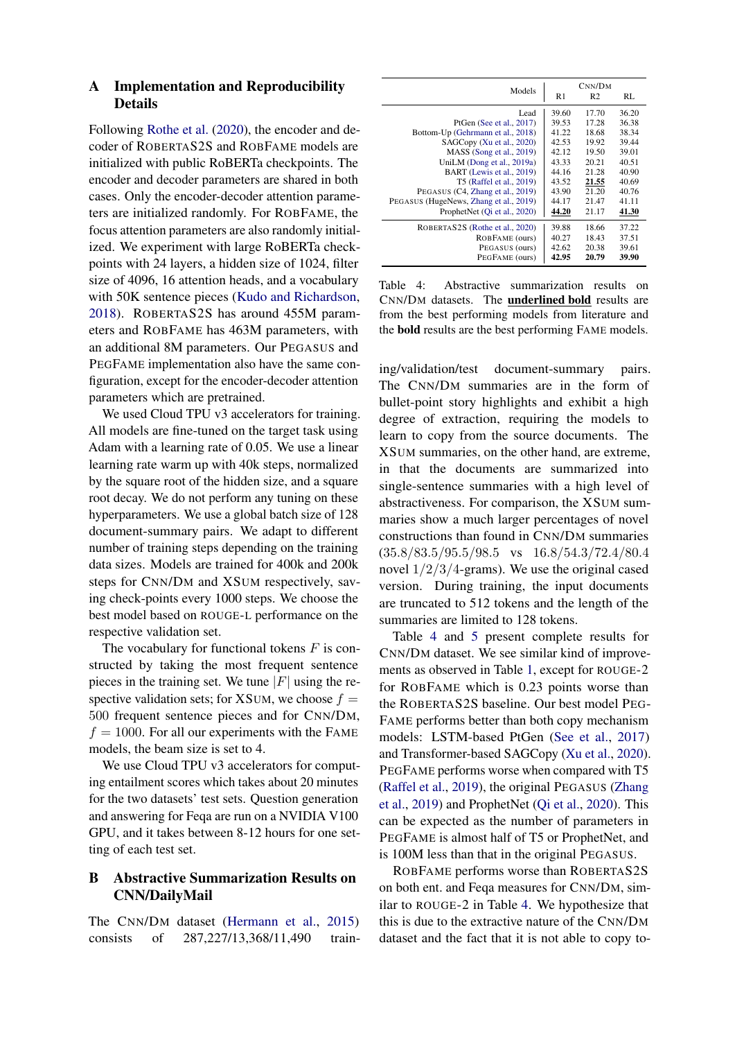### <span id="page-14-1"></span>A Implementation and Reproducibility Details

Following [Rothe et al.](#page-12-2) [\(2020\)](#page-12-2), the encoder and decoder of ROBERTAS2S and ROBFAME models are initialized with public RoBERTa checkpoints. The encoder and decoder parameters are shared in both cases. Only the encoder-decoder attention parameters are initialized randomly. For ROBFAME, the focus attention parameters are also randomly initialized. We experiment with large RoBERTa checkpoints with 24 layers, a hidden size of 1024, filter size of 4096, 16 attention heads, and a vocabulary with 50K sentence pieces [\(Kudo and Richardson,](#page-11-15) [2018\)](#page-11-15). ROBERTAS2S has around 455M parameters and ROBFAME has 463M parameters, with an additional 8M parameters. Our PEGASUS and PEGFAME implementation also have the same configuration, except for the encoder-decoder attention parameters which are pretrained.

We used Cloud TPU v3 accelerators for training. All models are fine-tuned on the target task using Adam with a learning rate of 0.05. We use a linear learning rate warm up with 40k steps, normalized by the square root of the hidden size, and a square root decay. We do not perform any tuning on these hyperparameters. We use a global batch size of 128 document-summary pairs. We adapt to different number of training steps depending on the training data sizes. Models are trained for 400k and 200k steps for CNN/DM and XSUM respectively, saving check-points every 1000 steps. We choose the best model based on ROUGE-L performance on the respective validation set.

The vocabulary for functional tokens  $F$  is constructed by taking the most frequent sentence pieces in the training set. We tune  $|F|$  using the respective validation sets; for XSUM, we choose  $f =$ 500 frequent sentence pieces and for CNN/DM,  $f = 1000$ . For all our experiments with the FAME models, the beam size is set to 4.

We use Cloud TPU v3 accelerators for computing entailment scores which takes about 20 minutes for the two datasets' test sets. Question generation and answering for Feqa are run on a NVIDIA V100 GPU, and it takes between 8-12 hours for one setting of each test set.

# <span id="page-14-0"></span>B Abstractive Summarization Results on CNN/DailyMail

The CNN/DM dataset [\(Hermann et al.,](#page-10-12) [2015\)](#page-10-12) consists of 287,227/13,368/11,490 train-

<span id="page-14-2"></span>

| Models                                 | R1    | CNN/DM<br>R <sub>2</sub> | RL    |
|----------------------------------------|-------|--------------------------|-------|
| Lead                                   | 39.60 | 17.70                    | 36.20 |
| PtGen (See et al., 2017)               | 39.53 | 17.28                    | 36.38 |
| Bottom-Up (Gehrmann et al., 2018)      | 41.22 | 18.68                    | 38.34 |
| SAGCopy (Xu et al., 2020)              | 42.53 | 19.92                    | 39.44 |
| MASS (Song et al., 2019)               | 42.12 | 19.50                    | 39.01 |
| UniLM (Dong et al., 2019a)             | 43.33 | 20.21                    | 40.51 |
| BART (Lewis et al., 2019)              | 44.16 | 21.28                    | 40.90 |
| T5 (Raffel et al., 2019)               | 43.52 | 21.55                    | 40.69 |
| PEGASUS (C4, Zhang et al., 2019)       | 43.90 | 21.20                    | 40.76 |
| PEGASUS (HugeNews, Zhang et al., 2019) | 44.17 | 21.47                    | 41.11 |
| ProphetNet (Qi et al., 2020)           | 44.20 | 21.17                    | 41.30 |
| ROBERTAS2S (Rothe et al., 2020)        | 39.88 | 18.66                    | 37.22 |
| ROBFAME (ours)                         | 40.27 | 18.43                    | 37.51 |
| PEGASUS (ours)                         | 42.62 | 20.38                    | 39.61 |
| PEGFAME (ours)                         | 42.95 | 20.79                    | 39.90 |

Table 4: Abstractive summarization results on CNN/DM datasets. The underlined bold results are from the best performing models from literature and the bold results are the best performing FAME models.

ing/validation/test document-summary pairs. The CNN/DM summaries are in the form of bullet-point story highlights and exhibit a high degree of extraction, requiring the models to learn to copy from the source documents. The XSUM summaries, on the other hand, are extreme, in that the documents are summarized into single-sentence summaries with a high level of abstractiveness. For comparison, the XSUM summaries show a much larger percentages of novel constructions than found in CNN/DM summaries (35.8/83.5/95.5/98.5 vs 16.8/54.3/72.4/80.4 novel  $1/2/3/4$ -grams). We use the original cased version. During training, the input documents are truncated to 512 tokens and the length of the summaries are limited to 128 tokens.

Table [4](#page-14-2) and [5](#page-15-3) present complete results for CNN/DM dataset. We see similar kind of improvements as observed in Table [1,](#page-5-3) except for ROUGE-2 for ROBFAME which is 0.23 points worse than the ROBERTAS2S baseline. Our best model PEG-FAME performs better than both copy mechanism models: LSTM-based PtGen [\(See et al.,](#page-12-4) [2017\)](#page-12-4) and Transformer-based SAGCopy [\(Xu et al.,](#page-13-2) [2020\)](#page-13-2). PEGFAME performs worse when compared with T5 [\(Raffel et al.,](#page-12-3) [2019\)](#page-12-3), the original PEGASUS [\(Zhang](#page-13-1) [et al.,](#page-13-1) [2019\)](#page-13-1) and ProphetNet [\(Qi et al.,](#page-11-20) [2020\)](#page-11-20). This can be expected as the number of parameters in PEGFAME is almost half of T5 or ProphetNet, and is 100M less than that in the original PEGASUS.

ROBFAME performs worse than ROBERTAS2S on both ent. and Feqa measures for CNN/DM, similar to ROUGE-2 in Table [4.](#page-14-2) We hypothesize that this is due to the extractive nature of the CNN/DM dataset and the fact that it is not able to copy to-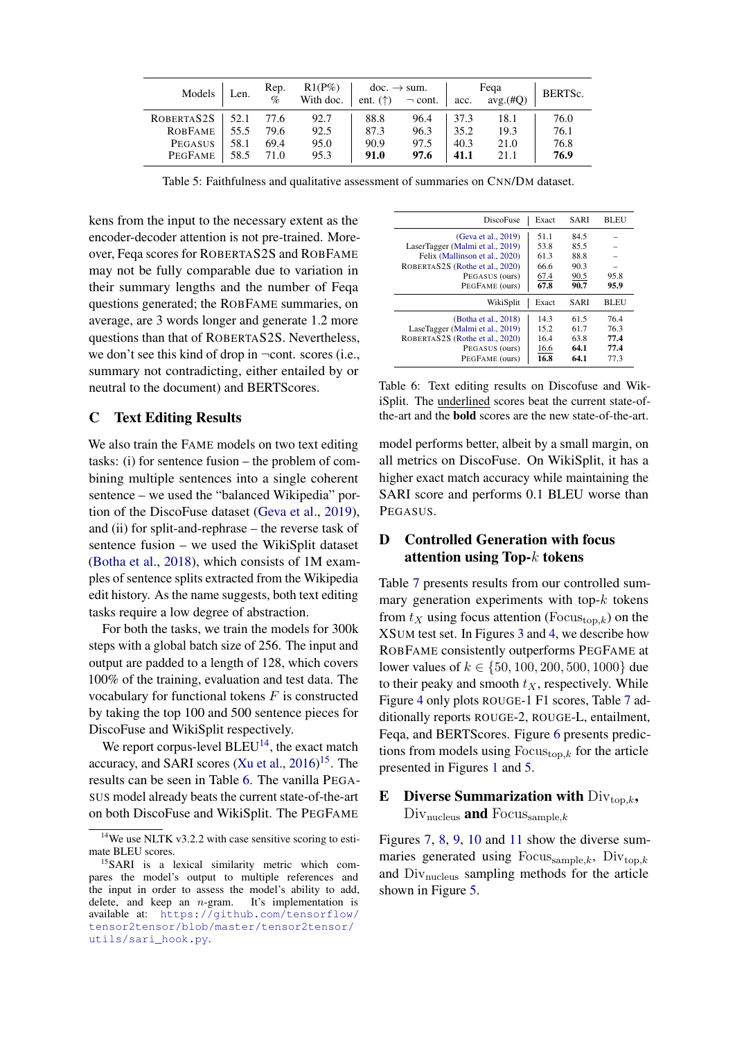<span id="page-15-3"></span>

| Models         | Len. | Rep.<br>$\%$ | $R1(P\%)$<br>With doc. | $\rm{doc.} \rightarrow \rm{sum.}$ | ent. $(\uparrow)$ $\lnot$ cont. | acc. | Fega<br>avg.(#O) | BERTS <sub>c</sub> . |
|----------------|------|--------------|------------------------|-----------------------------------|---------------------------------|------|------------------|----------------------|
| ROBERTAS2S     | 52.1 | 77.6         | 92.7                   | 88.8                              | 96.4                            | 37.3 | 18.1             | 76.0                 |
| <b>ROBFAME</b> | 55.5 | 79.6         | 92.5                   | 87.3                              | 96.3                            | 35.2 | 19.3             | 76.1                 |
| PEGASUS        | 58.1 | 69.4         | 95.0                   | 90.9                              | 97.5                            | 40.3 | 21.0             | 76.8                 |
| PEGFAME        | 58.5 | 71.0         | 95.3                   | 91.0                              | 97.6                            | 41.1 | 21.1             | 76.9                 |

Table 5: Faithfulness and qualitative assessment of summaries on CNN/DM dataset.

kens from the input to the necessary extent as the encoder-decoder attention is not pre-trained. Moreover, Feqa scores for ROBERTAS2S and ROBFAME may not be fully comparable due to variation in their summary lengths and the number of Feqa questions generated; the ROBFAME summaries, on average, are 3 words longer and generate 1.2 more questions than that of ROBERTAS2S. Nevertheless, we don't see this kind of drop in ¬cont. scores (i.e., summary not contradicting, either entailed by or neutral to the document) and BERTScores.

## <span id="page-15-0"></span>C Text Editing Results

We also train the FAME models on two text editing tasks: (i) for sentence fusion – the problem of combining multiple sentences into a single coherent sentence – we used the "balanced Wikipedia" portion of the DiscoFuse dataset [\(Geva et al.,](#page-10-13) [2019\)](#page-10-13), and (ii) for split-and-rephrase – the reverse task of sentence fusion – we used the WikiSplit dataset [\(Botha et al.,](#page-9-14) [2018\)](#page-9-14), which consists of 1M examples of sentence splits extracted from the Wikipedia edit history. As the name suggests, both text editing tasks require a low degree of abstraction.

For both the tasks, we train the models for 300k steps with a global batch size of 256. The input and output are padded to a length of 128, which covers 100% of the training, evaluation and test data. The vocabulary for functional tokens  $F$  is constructed by taking the top 100 and 500 sentence pieces for DiscoFuse and WikiSplit respectively.

We report corpus-level  $BLEU^{14}$  $BLEU^{14}$  $BLEU^{14}$ , the exact match accuracy, and SARI scores [\(Xu et al.,](#page-13-8)  $2016$ )<sup>[15](#page-15-5)</sup>. The results can be seen in Table [6.](#page-15-6) The vanilla PEGA-SUS model already beats the current state-of-the-art on both DiscoFuse and WikiSplit. The PEGFAME

<span id="page-15-6"></span>

| <b>DiscoFuse</b>                 | Exact | SARI | BLEU |
|----------------------------------|-------|------|------|
| (Geva et al., 2019)              | 51.1  | 84.5 |      |
| LaserTagger (Malmi et al., 2019) | 53.8  | 85.5 |      |
| Felix (Mallinson et al., 2020)   | 61.3  | 88.8 |      |
| ROBERTAS2S (Rothe et al., 2020)  | 66.6  | 90.3 |      |
| PEGASUS (ours)                   | 67.4  | 90.5 | 95.8 |
| PEGFAME (ours)                   | 67.8  | 90.7 | 95.9 |
| WikiSplit                        | Exact | SARI | BLEU |
| (Botha et al., 2018)             | 14.3  | 61.5 | 76.4 |
| LaseTagger (Malmi et al., 2019)  | 15.2  | 61.7 | 76.3 |
| ROBERTAS2S (Rothe et al., 2020)  | 16.4  | 63.8 | 77.4 |
| PEGASUS (ours)                   | 16.6  | 64.1 | 77.4 |
| PEGFAME (ours)                   | 16.8  | 64.1 | 77.3 |

Table 6: Text editing results on Discofuse and WikiSplit. The underlined scores beat the current state-ofthe-art and the bold scores are the new state-of-the-art.

model performs better, albeit by a small margin, on all metrics on DiscoFuse. On WikiSplit, it has a higher exact match accuracy while maintaining the SARI score and performs 0.1 BLEU worse than PEGASUS.

## <span id="page-15-2"></span>D Controlled Generation with focus attention using Top- $k$  tokens

Table [7](#page-16-0) presents results from our controlled summary generation experiments with top- $k$  tokens from  $t_X$  using focus attention (Focus<sub>top,k</sub>) on the XSUM test set. In Figures [3](#page-7-0) and [4,](#page-7-2) we describe how ROBFAME consistently outperforms PEGFAME at lower values of  $k \in \{50, 100, 200, 500, 1000\}$  due to their peaky and smooth  $t<sub>X</sub>$ , respectively. While Figure [4](#page-7-2) only plots ROUGE-1 F1 scores, Table [7](#page-16-0) additionally reports ROUGE-2, ROUGE-L, entailment, Feqa, and BERTScores. Figure [6](#page-17-0) presents predictions from models using  $F_{\text{OCus}_{\text{top},k}}$  for the article presented in Figures [1](#page-0-0) and [5.](#page-16-1)

# <span id="page-15-1"></span>**E** Diverse Summarization with  $Div_{\text{top},k}$ ,  $Div_{\text{nucleus}}$  and  $Focus_{\text{sample},k}$

Figures [7,](#page-17-1) [8,](#page-18-0) [9,](#page-19-0) [10](#page-20-0) and [11](#page-21-0) show the diverse summaries generated using Focus $_{\text{sample},k}$ , Div $_{\text{top},k}$ and Divnucleus sampling methods for the article shown in Figure [5.](#page-16-1)

<span id="page-15-4"></span> $14$ We use NLTK v3.2.2 with case sensitive scoring to estimate BLEU scores.

<span id="page-15-5"></span><sup>15</sup>SARI is a lexical similarity metric which compares the model's output to multiple references and the input in order to assess the model's ability to add, delete, and keep an  $n$ -gram. It's implementation is available at: [https://github.com/tensorflow/](https://github.com/tensorflow/tensor2tensor/blob/master/tensor2tensor/utils/sari_hook.py) [tensor2tensor/blob/master/tensor2tensor/](https://github.com/tensorflow/tensor2tensor/blob/master/tensor2tensor/utils/sari_hook.py) [utils/sari\\_hook.py](https://github.com/tensorflow/tensor2tensor/blob/master/tensor2tensor/utils/sari_hook.py).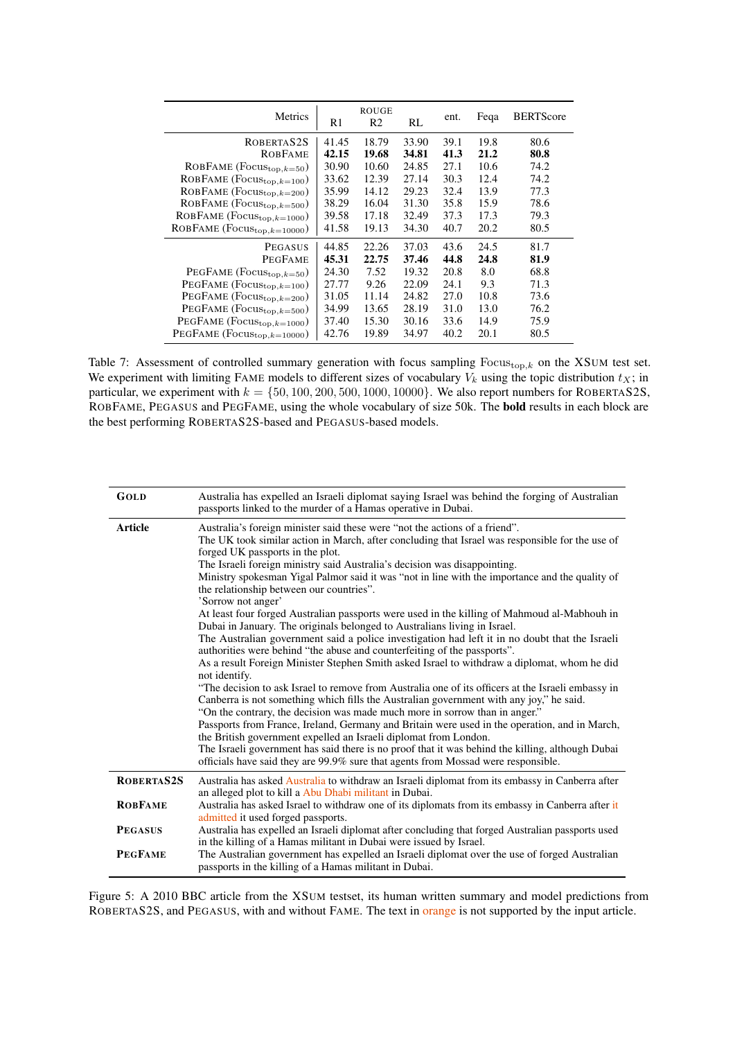<span id="page-16-0"></span>

| <b>Metrics</b>                    | R1    | <b>ROUGE</b><br>R2 | RL    | ent. | Feqa | <b>BERTScore</b> |
|-----------------------------------|-------|--------------------|-------|------|------|------------------|
| ROBERTAS2S                        | 41.45 | 18.79              | 33.90 | 39.1 | 19.8 | 80.6             |
| <b>ROBFAME</b>                    | 42.15 | 19.68              | 34.81 | 41.3 | 21.2 | 80.8             |
| ROBFAME ( $Focus_{top,k=50}$ )    | 30.90 | 10.60              | 24.85 | 27.1 | 10.6 | 74.2             |
| ROBFAME ( $Focus_{top,k=100}$ )   | 33.62 | 12.39              | 27.14 | 30.3 | 12.4 | 74.2             |
| ROBFAME ( $Focus_{top,k=200}$ )   | 35.99 | 14.12              | 29.23 | 32.4 | 13.9 | 77.3             |
| ROBFAME ( $Focus_{top,k=500}$ )   | 38.29 | 16.04              | 31.30 | 35.8 | 15.9 | 78.6             |
| ROBFAME ( $Focus_{top,k=1000}$ )  | 39.58 | 17.18              | 32.49 | 37.3 | 17.3 | 79.3             |
| ROBFAME ( $Focus_{top,k=10000}$ ) | 41.58 | 19.13              | 34.30 | 40.7 | 20.2 | 80.5             |
| PEGASUS                           | 44.85 | 22.26              | 37.03 | 43.6 | 24.5 | 81.7             |
| <b>PEGFAME</b>                    | 45.31 | 22.75              | 37.46 | 44.8 | 24.8 | 81.9             |
| PEGFAME ( $Focus_{top,k=50}$ )    | 24.30 | 7.52               | 19.32 | 20.8 | 8.0  | 68.8             |
| PEGFAME ( $Focus_{top,k=100}$ )   | 27.77 | 9.26               | 22.09 | 24.1 | 9.3  | 71.3             |
| PEGFAME ( $Focus_{top,k=200}$ )   | 31.05 | 11.14              | 24.82 | 27.0 | 10.8 | 73.6             |
| PEGFAME ( $Focus_{top,k=500}$ )   | 34.99 | 13.65              | 28.19 | 31.0 | 13.0 | 76.2             |
| PEGFAME ( $Focus_{top,k=1000}$ )  | 37.40 | 15.30              | 30.16 | 33.6 | 14.9 | 75.9             |
| PEGFAME ( $Focus_{top,k=10000}$ ) | 42.76 | 19.89              | 34.97 | 40.2 | 20.1 | 80.5             |

Table 7: Assessment of controlled summary generation with focus sampling  $Focus_{top,k}$  on the XSUM test set. We experiment with limiting FAME models to different sizes of vocabulary  $V_k$  using the topic distribution  $t_X$ ; in particular, we experiment with  $k = \{50, 100, 200, 500, 1000, 10000\}$ . We also report numbers for ROBERTAS2S, ROBFAME, PEGASUS and PEGFAME, using the whole vocabulary of size 50k. The bold results in each block are the best performing ROBERTAS2S-based and PEGASUS-based models.

<span id="page-16-1"></span>

| GOLD           | Australia has expelled an Israeli diplomat saying Israel was behind the forging of Australian<br>passports linked to the murder of a Hamas operative in Dubai.                                                                                                                                                                                                                                                                                                                                                                                                                                                                                                                                                                                                                                                                                                                                                                                                                                                                                                                                                                                                                                                                                                                                                                                                                                                                                                                                                                                                                                |
|----------------|-----------------------------------------------------------------------------------------------------------------------------------------------------------------------------------------------------------------------------------------------------------------------------------------------------------------------------------------------------------------------------------------------------------------------------------------------------------------------------------------------------------------------------------------------------------------------------------------------------------------------------------------------------------------------------------------------------------------------------------------------------------------------------------------------------------------------------------------------------------------------------------------------------------------------------------------------------------------------------------------------------------------------------------------------------------------------------------------------------------------------------------------------------------------------------------------------------------------------------------------------------------------------------------------------------------------------------------------------------------------------------------------------------------------------------------------------------------------------------------------------------------------------------------------------------------------------------------------------|
| <b>Article</b> | Australia's foreign minister said these were "not the actions of a friend".<br>The UK took similar action in March, after concluding that Israel was responsible for the use of<br>forged UK passports in the plot.<br>The Israeli foreign ministry said Australia's decision was disappointing.<br>Ministry spokesman Yigal Palmor said it was "not in line with the importance and the quality of<br>the relationship between our countries".<br>'Sorrow not anger'<br>At least four forged Australian passports were used in the killing of Mahmoud al-Mabhouh in<br>Dubai in January. The originals belonged to Australians living in Israel.<br>The Australian government said a police investigation had left it in no doubt that the Israeli<br>authorities were behind "the abuse and counterfeiting of the passports".<br>As a result Foreign Minister Stephen Smith asked Israel to withdraw a diplomat, whom he did<br>not identify.<br>"The decision to ask Israel to remove from Australia one of its officers at the Israeli embassy in<br>Canberra is not something which fills the Australian government with any joy," he said.<br>"On the contrary, the decision was made much more in sorrow than in anger."<br>Passports from France, Ireland, Germany and Britain were used in the operation, and in March,<br>the British government expelled an Israeli diplomat from London.<br>The Israeli government has said there is no proof that it was behind the killing, although Dubai<br>officials have said they are 99.9% sure that agents from Mossad were responsible. |
| ROBERTAS2S     | Australia has asked Australia to withdraw an Israeli diplomat from its embassy in Canberra after<br>an alleged plot to kill a Abu Dhabi militant in Dubai.                                                                                                                                                                                                                                                                                                                                                                                                                                                                                                                                                                                                                                                                                                                                                                                                                                                                                                                                                                                                                                                                                                                                                                                                                                                                                                                                                                                                                                    |
| <b>ROBFAME</b> | Australia has asked Israel to withdraw one of its diplomats from its embassy in Canberra after it<br>admitted it used forged passports.                                                                                                                                                                                                                                                                                                                                                                                                                                                                                                                                                                                                                                                                                                                                                                                                                                                                                                                                                                                                                                                                                                                                                                                                                                                                                                                                                                                                                                                       |
| <b>PEGASUS</b> | Australia has expelled an Israeli diplomat after concluding that forged Australian passports used<br>in the killing of a Hamas militant in Dubai were issued by Israel.                                                                                                                                                                                                                                                                                                                                                                                                                                                                                                                                                                                                                                                                                                                                                                                                                                                                                                                                                                                                                                                                                                                                                                                                                                                                                                                                                                                                                       |
| <b>PEGFAME</b> | The Australian government has expelled an Israeli diplomat over the use of forged Australian<br>passports in the killing of a Hamas militant in Dubai.                                                                                                                                                                                                                                                                                                                                                                                                                                                                                                                                                                                                                                                                                                                                                                                                                                                                                                                                                                                                                                                                                                                                                                                                                                                                                                                                                                                                                                        |

Figure 5: A 2010 BBC article from the XSUM testset, its human written summary and model predictions from ROBERTAS2S, and PEGASUS, with and without FAME. The text in orange is not supported by the input article.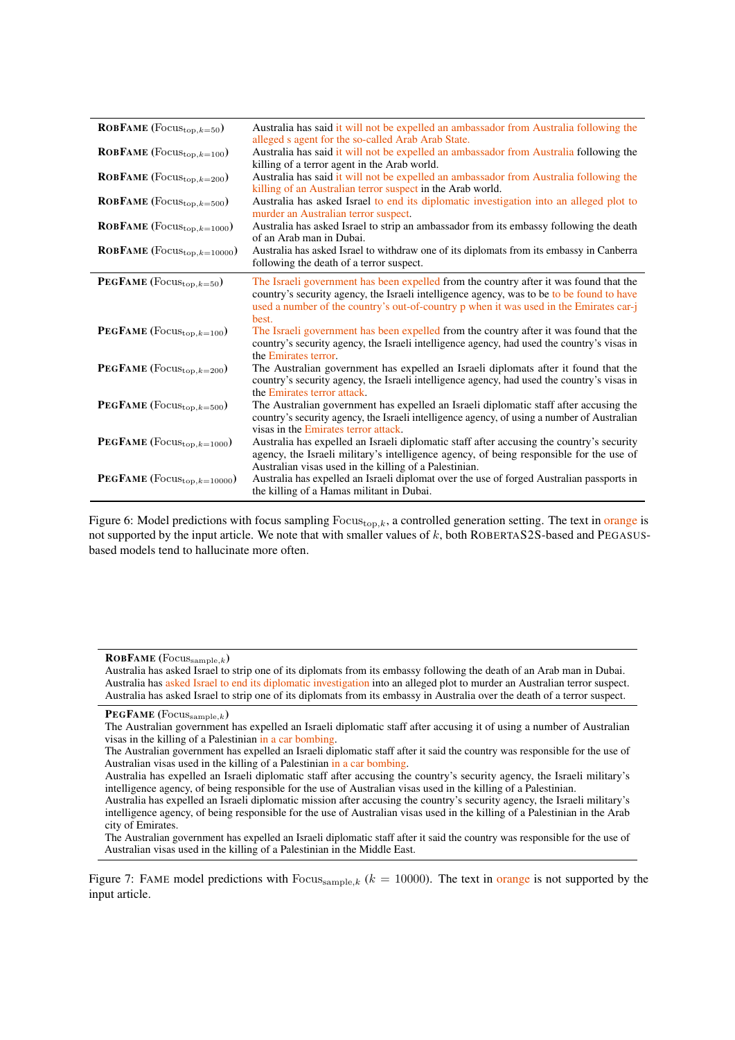<span id="page-17-0"></span>

| <b>ROBFAME</b> (Focus <sub>top,<math>k=50</math>)</sub>   | Australia has said it will not be expelled an ambassador from Australia following the<br>alleged s agent for the so-called Arab Arab State.                                                                                                                                           |
|-----------------------------------------------------------|---------------------------------------------------------------------------------------------------------------------------------------------------------------------------------------------------------------------------------------------------------------------------------------|
| <b>ROBFAME</b> (Focus <sub>top,<math>k=100</math>)</sub>  | Australia has said it will not be expelled an ambassador from Australia following the<br>killing of a terror agent in the Arab world.                                                                                                                                                 |
| <b>ROBFAME</b> (Focus <sub>top,<math>k=200</math>)</sub>  | Australia has said it will not be expelled an ambassador from Australia following the                                                                                                                                                                                                 |
| ROBFAME ( $Focus_{top,k=500}$ )                           | killing of an Australian terror suspect in the Arab world.<br>Australia has asked Israel to end its diplomatic investigation into an alleged plot to<br>murder an Australian terror suspect.                                                                                          |
| <b>ROBFAME</b> (Focus <sub>top,<math>k=1000</math>)</sub> | Australia has asked Israel to strip an ambassador from its embassy following the death                                                                                                                                                                                                |
| ROBFAME ( $\text{Focus}_{\text{top},k=10000}$ )           | of an Arab man in Dubai.<br>Australia has asked Israel to withdraw one of its diplomats from its embassy in Canberra<br>following the death of a terror suspect.                                                                                                                      |
| <b>PEGFAME</b> (Focus <sub>top,<math>k=50</math>)</sub>   | The Israeli government has been expelled from the country after it was found that the<br>country's security agency, the Israeli intelligence agency, was to be to be found to have<br>used a number of the country's out-of-country p when it was used in the Emirates car-j<br>best. |
| PEGFAME ( $Focus_{top,k=100}$ )                           | The Israeli government has been expelled from the country after it was found that the<br>country's security agency, the Israeli intelligence agency, had used the country's visas in<br>the Emirates terror.                                                                          |
| PEGFAME ( $Focus_{top,k=200}$ )                           | The Australian government has expelled an Israeli diplomats after it found that the<br>country's security agency, the Israeli intelligence agency, had used the country's visas in<br>the Emirates terror attack.                                                                     |
| <b>PEGFAME</b> (Focus <sub>top,<math>k=500</math>)</sub>  | The Australian government has expelled an Israeli diplomatic staff after accusing the<br>country's security agency, the Israeli intelligence agency, of using a number of Australian<br>visas in the Emirates terror attack.                                                          |
| PEGFAME ( $Focus_{top,k=1000}$ )                          | Australia has expelled an Israeli diplomatic staff after accusing the country's security<br>agency, the Israeli military's intelligence agency, of being responsible for the use of                                                                                                   |
| PEGFAME ( $Focus_{top,k=10000}$ )                         | Australian visas used in the killing of a Palestinian.<br>Australia has expelled an Israeli diplomat over the use of forged Australian passports in<br>the killing of a Hamas militant in Dubai.                                                                                      |

Figure 6: Model predictions with focus sampling  $Focus_{top,k}$ , a controlled generation setting. The text in orange is not supported by the input article. We note that with smaller values of k, both ROBERTAS2S-based and PEGASUSbased models tend to hallucinate more often.

Australia has asked Israel to strip one of its diplomats from its embassy following the death of an Arab man in Dubai. Australia has asked Israel to end its diplomatic investigation into an alleged plot to murder an Australian terror suspect. Australia has asked Israel to strip one of its diplomats from its embassy in Australia over the death of a terror suspect.

Figure 7: FAME model predictions with  $\text{Focus}_{\text{sample},k}$  ( $k = 10000$ ). The text in orange is not supported by the input article.

<span id="page-17-1"></span>ROBFAME  $(Focus_{\text{sample},k})$ 

PEGFAME  $(Focus_{\text{sample},k})$ 

The Australian government has expelled an Israeli diplomatic staff after accusing it of using a number of Australian visas in the killing of a Palestinian in a car bombing.

The Australian government has expelled an Israeli diplomatic staff after it said the country was responsible for the use of Australian visas used in the killing of a Palestinian in a car bombing.

Australia has expelled an Israeli diplomatic staff after accusing the country's security agency, the Israeli military's intelligence agency, of being responsible for the use of Australian visas used in the killing of a Palestinian.

Australia has expelled an Israeli diplomatic mission after accusing the country's security agency, the Israeli military's intelligence agency, of being responsible for the use of Australian visas used in the killing of a Palestinian in the Arab city of Emirates.

The Australian government has expelled an Israeli diplomatic staff after it said the country was responsible for the use of Australian visas used in the killing of a Palestinian in the Middle East.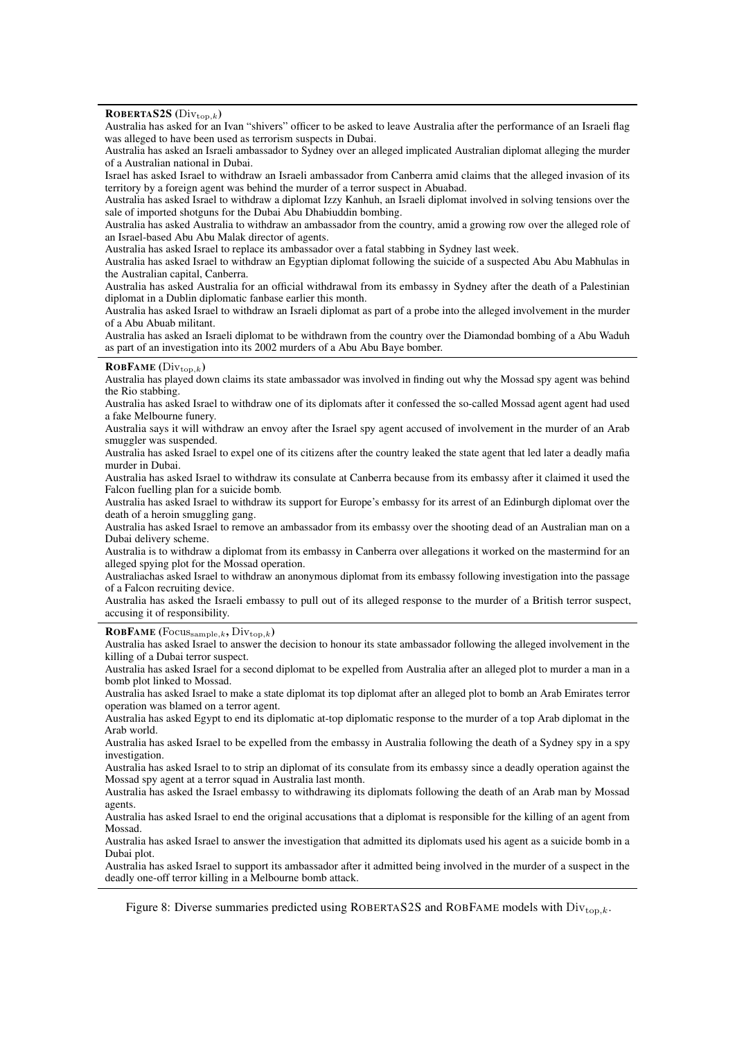<span id="page-18-0"></span>ROBERTAS2S  $(Div_{top,k})$ 

Australia has asked for an Ivan "shivers" officer to be asked to leave Australia after the performance of an Israeli flag was alleged to have been used as terrorism suspects in Dubai.

Australia has asked an Israeli ambassador to Sydney over an alleged implicated Australian diplomat alleging the murder of a Australian national in Dubai.

Israel has asked Israel to withdraw an Israeli ambassador from Canberra amid claims that the alleged invasion of its territory by a foreign agent was behind the murder of a terror suspect in Abuabad.

Australia has asked Israel to withdraw a diplomat Izzy Kanhuh, an Israeli diplomat involved in solving tensions over the sale of imported shotguns for the Dubai Abu Dhabiuddin bombing.

Australia has asked Australia to withdraw an ambassador from the country, amid a growing row over the alleged role of an Israel-based Abu Abu Malak director of agents.

Australia has asked Israel to replace its ambassador over a fatal stabbing in Sydney last week.

Australia has asked Israel to withdraw an Egyptian diplomat following the suicide of a suspected Abu Abu Mabhulas in the Australian capital, Canberra.

Australia has asked Australia for an official withdrawal from its embassy in Sydney after the death of a Palestinian diplomat in a Dublin diplomatic fanbase earlier this month.

Australia has asked Israel to withdraw an Israeli diplomat as part of a probe into the alleged involvement in the murder of a Abu Abuab militant.

Australia has asked an Israeli diplomat to be withdrawn from the country over the Diamondad bombing of a Abu Waduh as part of an investigation into its 2002 murders of a Abu Abu Baye bomber.

#### **ROBFAME**  $(Div_{\text{top},k})$

Australia has played down claims its state ambassador was involved in finding out why the Mossad spy agent was behind the Rio stabbing.

Australia has asked Israel to withdraw one of its diplomats after it confessed the so-called Mossad agent agent had used a fake Melbourne funery.

Australia says it will withdraw an envoy after the Israel spy agent accused of involvement in the murder of an Arab smuggler was suspended.

Australia has asked Israel to expel one of its citizens after the country leaked the state agent that led later a deadly mafia murder in Dubai.

Australia has asked Israel to withdraw its consulate at Canberra because from its embassy after it claimed it used the Falcon fuelling plan for a suicide bomb.

Australia has asked Israel to withdraw its support for Europe's embassy for its arrest of an Edinburgh diplomat over the death of a heroin smuggling gang.

Australia has asked Israel to remove an ambassador from its embassy over the shooting dead of an Australian man on a Dubai delivery scheme.

Australia is to withdraw a diplomat from its embassy in Canberra over allegations it worked on the mastermind for an alleged spying plot for the Mossad operation.

Australiachas asked Israel to withdraw an anonymous diplomat from its embassy following investigation into the passage of a Falcon recruiting device.

Australia has asked the Israeli embassy to pull out of its alleged response to the murder of a British terror suspect, accusing it of responsibility.

**ROBFAME** (Focus $s_{\text{sample},k}$ , Div $t_{\text{top},k}$ )

Australia has asked Israel to answer the decision to honour its state ambassador following the alleged involvement in the killing of a Dubai terror suspect.

Australia has asked Israel for a second diplomat to be expelled from Australia after an alleged plot to murder a man in a bomb plot linked to Mossad.

Australia has asked Israel to make a state diplomat its top diplomat after an alleged plot to bomb an Arab Emirates terror operation was blamed on a terror agent.

Australia has asked Egypt to end its diplomatic at-top diplomatic response to the murder of a top Arab diplomat in the Arab world.

Australia has asked Israel to be expelled from the embassy in Australia following the death of a Sydney spy in a spy investigation.

Australia has asked Israel to to strip an diplomat of its consulate from its embassy since a deadly operation against the Mossad spy agent at a terror squad in Australia last month.

Australia has asked the Israel embassy to withdrawing its diplomats following the death of an Arab man by Mossad agents.

Australia has asked Israel to end the original accusations that a diplomat is responsible for the killing of an agent from Mossad.

Australia has asked Israel to answer the investigation that admitted its diplomats used his agent as a suicide bomb in a Dubai plot.

Australia has asked Israel to support its ambassador after it admitted being involved in the murder of a suspect in the deadly one-off terror killing in a Melbourne bomb attack.

Figure 8: Diverse summaries predicted using ROBERTAS2S and ROBFAME models with  $Div_{top k}$ .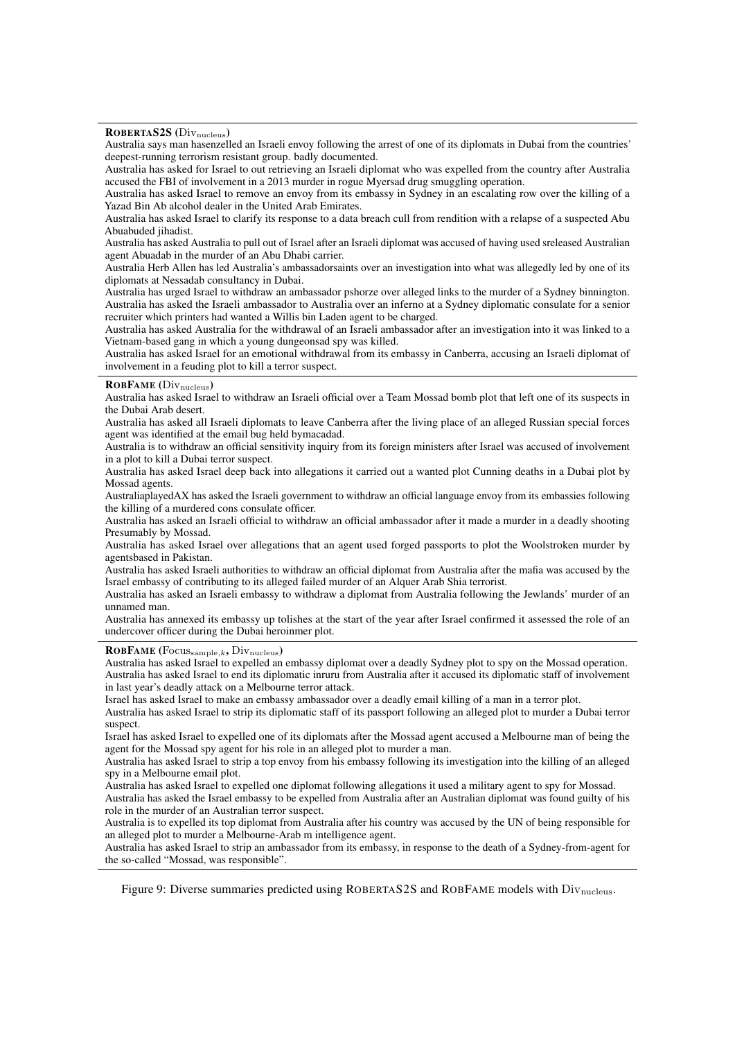<span id="page-19-0"></span>ROBERTAS2S (Divnucleus)

Australia says man hasenzelled an Israeli envoy following the arrest of one of its diplomats in Dubai from the countries' deepest-running terrorism resistant group. badly documented.

Australia has asked for Israel to out retrieving an Israeli diplomat who was expelled from the country after Australia accused the FBI of involvement in a 2013 murder in rogue Myersad drug smuggling operation.

Australia has asked Israel to remove an envoy from its embassy in Sydney in an escalating row over the killing of a Yazad Bin Ab alcohol dealer in the United Arab Emirates.

Australia has asked Israel to clarify its response to a data breach cull from rendition with a relapse of a suspected Abu Abuabuded jihadist.

Australia has asked Australia to pull out of Israel after an Israeli diplomat was accused of having used sreleased Australian agent Abuadab in the murder of an Abu Dhabi carrier.

Australia Herb Allen has led Australia's ambassadorsaints over an investigation into what was allegedly led by one of its diplomats at Nessadab consultancy in Dubai.

Australia has urged Israel to withdraw an ambassador pshorze over alleged links to the murder of a Sydney binnington. Australia has asked the Israeli ambassador to Australia over an inferno at a Sydney diplomatic consulate for a senior recruiter which printers had wanted a Willis bin Laden agent to be charged.

Australia has asked Australia for the withdrawal of an Israeli ambassador after an investigation into it was linked to a Vietnam-based gang in which a young dungeonsad spy was killed.

Australia has asked Israel for an emotional withdrawal from its embassy in Canberra, accusing an Israeli diplomat of involvement in a feuding plot to kill a terror suspect.

#### ROBFAME (Div<sub>nucleus</sub>)

Australia has asked Israel to withdraw an Israeli official over a Team Mossad bomb plot that left one of its suspects in the Dubai Arab desert.

Australia has asked all Israeli diplomats to leave Canberra after the living place of an alleged Russian special forces agent was identified at the email bug held bymacadad.

Australia is to withdraw an official sensitivity inquiry from its foreign ministers after Israel was accused of involvement in a plot to kill a Dubai terror suspect.

Australia has asked Israel deep back into allegations it carried out a wanted plot Cunning deaths in a Dubai plot by Mossad agents.

AustraliaplayedAX has asked the Israeli government to withdraw an official language envoy from its embassies following the killing of a murdered cons consulate officer.

Australia has asked an Israeli official to withdraw an official ambassador after it made a murder in a deadly shooting Presumably by Mossad.

Australia has asked Israel over allegations that an agent used forged passports to plot the Woolstroken murder by agentsbased in Pakistan.

Australia has asked Israeli authorities to withdraw an official diplomat from Australia after the mafia was accused by the Israel embassy of contributing to its alleged failed murder of an Alquer Arab Shia terrorist.

Australia has asked an Israeli embassy to withdraw a diplomat from Australia following the Jewlands' murder of an unnamed man.

Australia has annexed its embassy up tolishes at the start of the year after Israel confirmed it assessed the role of an undercover officer during the Dubai heroinmer plot.

#### **ROBFAME** (Focus $_{\text{sample},k}$ , Div $_{\text{nucleus}}$ )

Australia has asked Israel to expelled an embassy diplomat over a deadly Sydney plot to spy on the Mossad operation. Australia has asked Israel to end its diplomatic inruru from Australia after it accused its diplomatic staff of involvement in last year's deadly attack on a Melbourne terror attack.

Israel has asked Israel to make an embassy ambassador over a deadly email killing of a man in a terror plot.

Australia has asked Israel to strip its diplomatic staff of its passport following an alleged plot to murder a Dubai terror suspect.

Israel has asked Israel to expelled one of its diplomats after the Mossad agent accused a Melbourne man of being the agent for the Mossad spy agent for his role in an alleged plot to murder a man.

Australia has asked Israel to strip a top envoy from his embassy following its investigation into the killing of an alleged spy in a Melbourne email plot.

Australia has asked Israel to expelled one diplomat following allegations it used a military agent to spy for Mossad.

Australia has asked the Israel embassy to be expelled from Australia after an Australian diplomat was found guilty of his role in the murder of an Australian terror suspect.

Australia is to expelled its top diplomat from Australia after his country was accused by the UN of being responsible for an alleged plot to murder a Melbourne-Arab m intelligence agent.

Australia has asked Israel to strip an ambassador from its embassy, in response to the death of a Sydney-from-agent for the so-called "Mossad, was responsible".

Figure 9: Diverse summaries predicted using ROBERTAS2S and ROBFAME models with Div<sub>nucleus</sub>.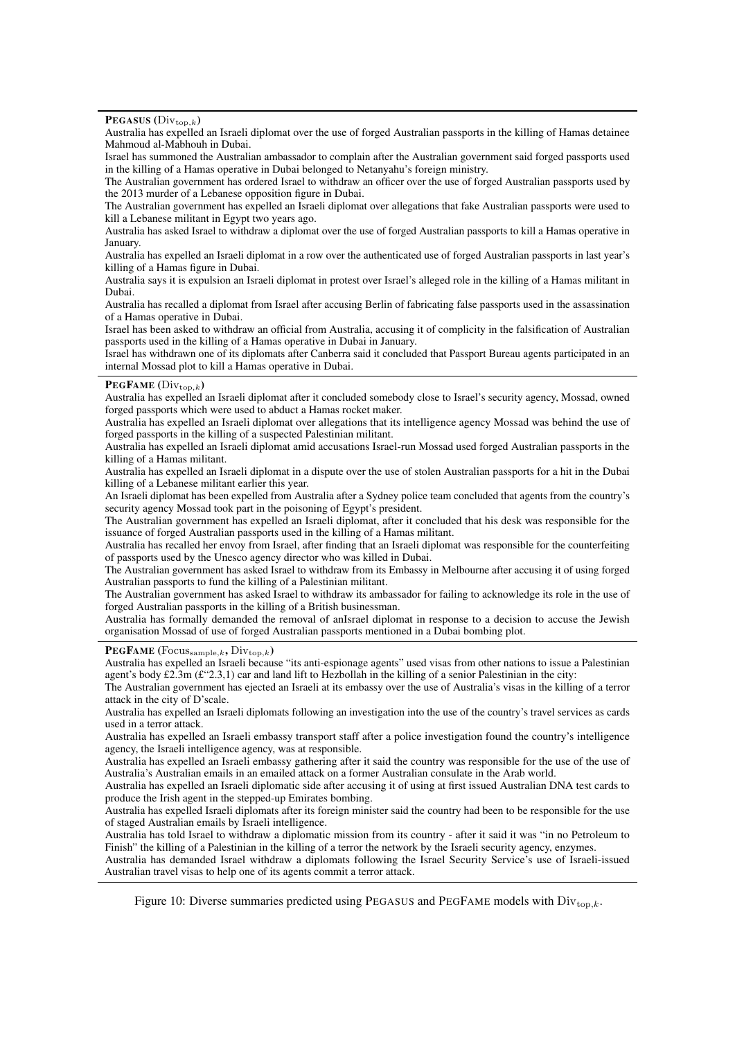<span id="page-20-0"></span>PEGASUS  $(Div_{top,k})$ 

Australia has expelled an Israeli diplomat over the use of forged Australian passports in the killing of Hamas detainee Mahmoud al-Mabhouh in Dubai.

Israel has summoned the Australian ambassador to complain after the Australian government said forged passports used in the killing of a Hamas operative in Dubai belonged to Netanyahu's foreign ministry.

The Australian government has ordered Israel to withdraw an officer over the use of forged Australian passports used by the 2013 murder of a Lebanese opposition figure in Dubai.

The Australian government has expelled an Israeli diplomat over allegations that fake Australian passports were used to kill a Lebanese militant in Egypt two years ago.

Australia has asked Israel to withdraw a diplomat over the use of forged Australian passports to kill a Hamas operative in January.

Australia has expelled an Israeli diplomat in a row over the authenticated use of forged Australian passports in last year's killing of a Hamas figure in Dubai.

Australia says it is expulsion an Israeli diplomat in protest over Israel's alleged role in the killing of a Hamas militant in Dubai.

Australia has recalled a diplomat from Israel after accusing Berlin of fabricating false passports used in the assassination of a Hamas operative in Dubai.

Israel has been asked to withdraw an official from Australia, accusing it of complicity in the falsification of Australian passports used in the killing of a Hamas operative in Dubai in January.

Israel has withdrawn one of its diplomats after Canberra said it concluded that Passport Bureau agents participated in an internal Mossad plot to kill a Hamas operative in Dubai.

### PEGFAME  $(Div_{top,k})$

Australia has expelled an Israeli diplomat after it concluded somebody close to Israel's security agency, Mossad, owned forged passports which were used to abduct a Hamas rocket maker.

Australia has expelled an Israeli diplomat over allegations that its intelligence agency Mossad was behind the use of forged passports in the killing of a suspected Palestinian militant.

Australia has expelled an Israeli diplomat amid accusations Israel-run Mossad used forged Australian passports in the killing of a Hamas militant.

Australia has expelled an Israeli diplomat in a dispute over the use of stolen Australian passports for a hit in the Dubai killing of a Lebanese militant earlier this year.

An Israeli diplomat has been expelled from Australia after a Sydney police team concluded that agents from the country's security agency Mossad took part in the poisoning of Egypt's president.

The Australian government has expelled an Israeli diplomat, after it concluded that his desk was responsible for the issuance of forged Australian passports used in the killing of a Hamas militant.

Australia has recalled her envoy from Israel, after finding that an Israeli diplomat was responsible for the counterfeiting of passports used by the Unesco agency director who was killed in Dubai.

The Australian government has asked Israel to withdraw from its Embassy in Melbourne after accusing it of using forged Australian passports to fund the killing of a Palestinian militant.

The Australian government has asked Israel to withdraw its ambassador for failing to acknowledge its role in the use of forged Australian passports in the killing of a British businessman.

Australia has formally demanded the removal of anIsrael diplomat in response to a decision to accuse the Jewish organisation Mossad of use of forged Australian passports mentioned in a Dubai bombing plot.

#### **PEGFAME** (Focus $_{\text{sample},k}$ , Div $_{\text{top},k}$ )

Australia has expelled an Israeli because "its anti-espionage agents" used visas from other nations to issue a Palestinian agent's body £2.3m (£"2.3,1) car and land lift to Hezbollah in the killing of a senior Palestinian in the city:

The Australian government has ejected an Israeli at its embassy over the use of Australia's visas in the killing of a terror attack in the city of D'scale.

Australia has expelled an Israeli diplomats following an investigation into the use of the country's travel services as cards used in a terror attack.

Australia has expelled an Israeli embassy transport staff after a police investigation found the country's intelligence agency, the Israeli intelligence agency, was at responsible.

Australia has expelled an Israeli embassy gathering after it said the country was responsible for the use of the use of Australia's Australian emails in an emailed attack on a former Australian consulate in the Arab world.

Australia has expelled an Israeli diplomatic side after accusing it of using at first issued Australian DNA test cards to produce the Irish agent in the stepped-up Emirates bombing.

Australia has expelled Israeli diplomats after its foreign minister said the country had been to be responsible for the use of staged Australian emails by Israeli intelligence.

Australia has told Israel to withdraw a diplomatic mission from its country - after it said it was "in no Petroleum to Finish" the killing of a Palestinian in the killing of a terror the network by the Israeli security agency, enzymes.

Australia has demanded Israel withdraw a diplomats following the Israel Security Service's use of Israeli-issued Australian travel visas to help one of its agents commit a terror attack.

Figure 10: Diverse summaries predicted using PEGASUS and PEGFAME models with  $Div_{\text{top }k}$ .